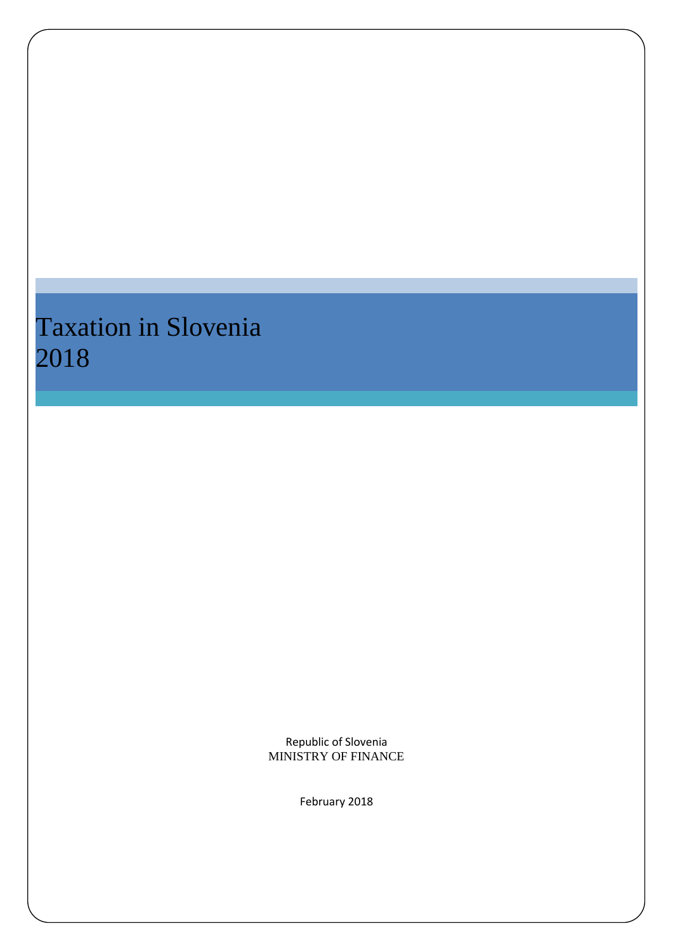# Taxation in Slovenia 2018

Republic of Slovenia MINISTRY OF FINANCE

February 2018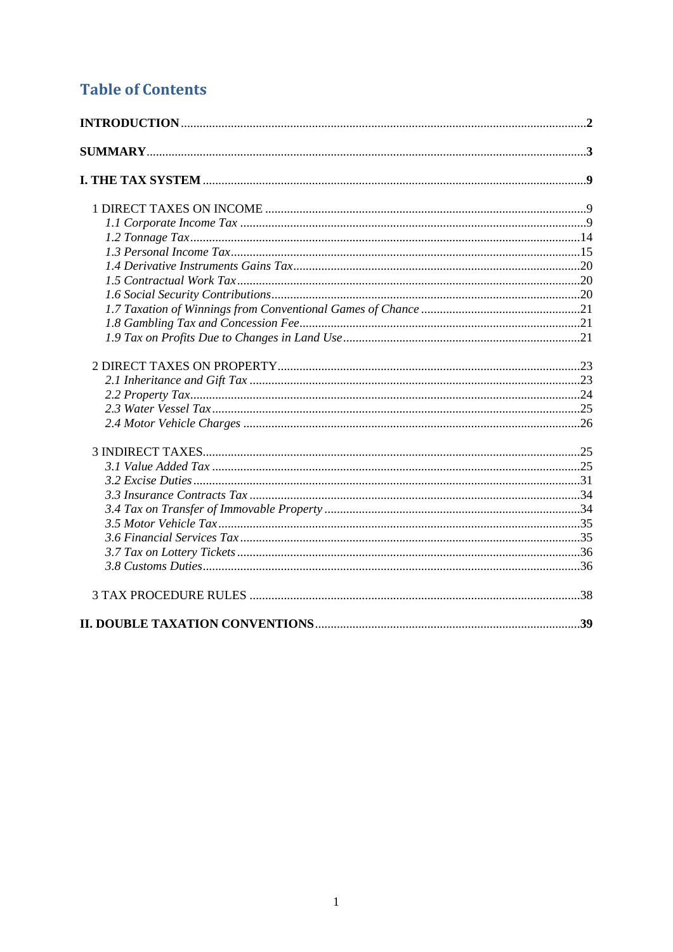## **Table of Contents**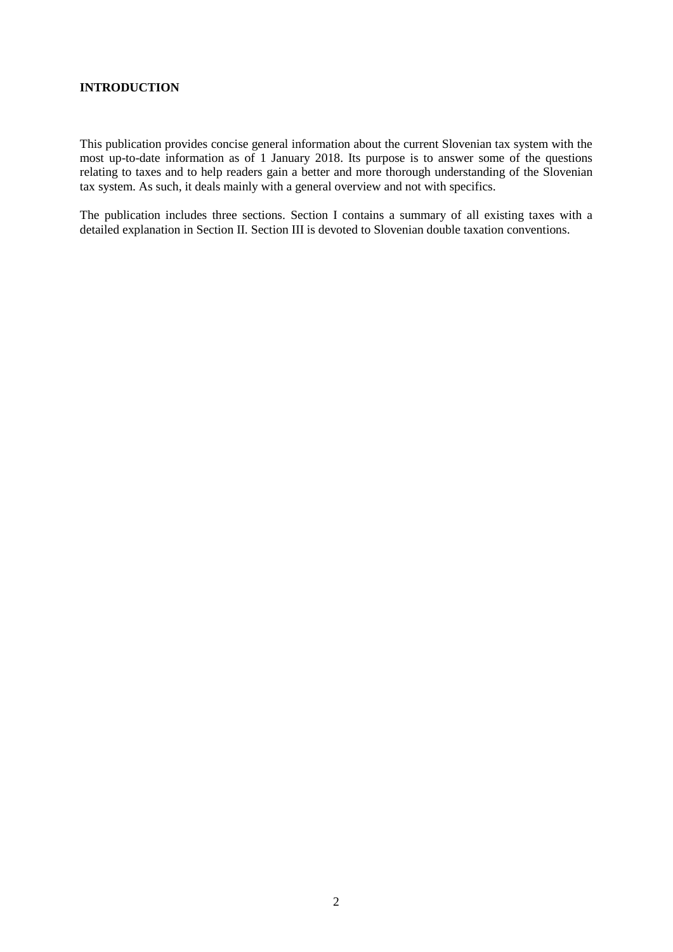## **INTRODUCTION**

This publication provides concise general information about the current Slovenian tax system with the most up-to-date information as of 1 January 2018. Its purpose is to answer some of the questions relating to taxes and to help readers gain a better and more thorough understanding of the Slovenian tax system. As such, it deals mainly with a general overview and not with specifics.

The publication includes three sections. Section I contains a summary of all existing taxes with a detailed explanation in Section II. Section III is devoted to Slovenian double taxation conventions.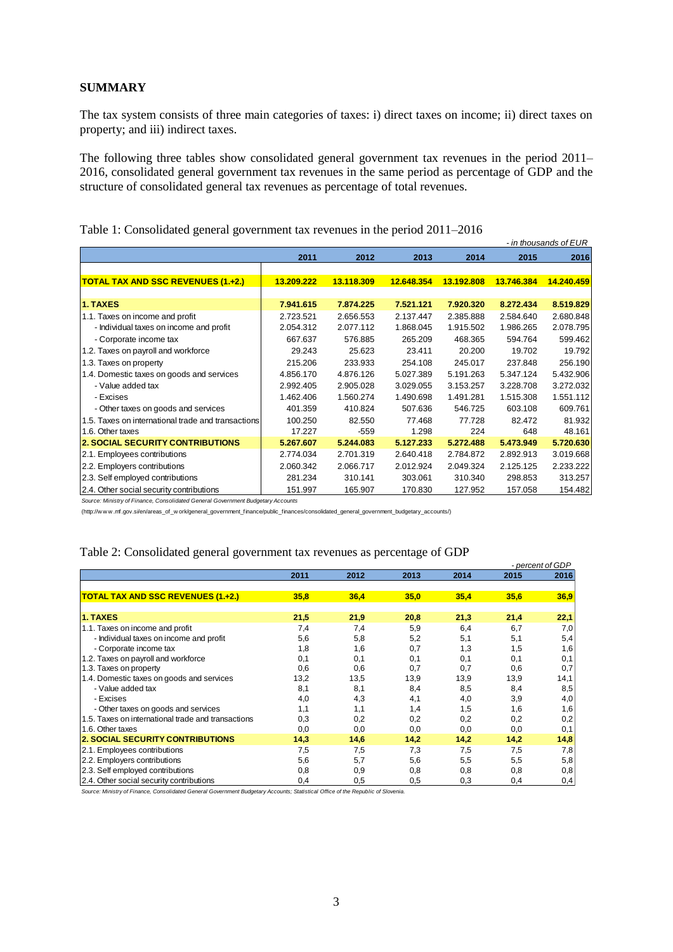## **SUMMARY**

The tax system consists of three main categories of taxes: i) direct taxes on income; ii) direct taxes on property; and iii) indirect taxes.

The following three tables show consolidated general government tax revenues in the period 2011– 2016, consolidated general government tax revenues in the same period as percentage of GDP and the structure of consolidated general tax revenues as percentage of total revenues.

|                                                    |            |            |            |            |            | - in thousands of EUR |
|----------------------------------------------------|------------|------------|------------|------------|------------|-----------------------|
|                                                    | 2011       | 2012       | 2013       | 2014       | 2015       | 2016                  |
|                                                    |            |            |            |            |            |                       |
| <b>TOTAL TAX AND SSC REVENUES (1.+2.)</b>          | 13.209.222 | 13.118.309 | 12.648.354 | 13.192.808 | 13.746.384 | 14.240.459            |
|                                                    |            |            |            |            |            |                       |
| <b>1. TAXES</b>                                    | 7.941.615  | 7.874.225  | 7.521.121  | 7.920.320  | 8.272.434  | 8.519.829             |
| 1.1. Taxes on income and profit                    | 2.723.521  | 2.656.553  | 2.137.447  | 2.385.888  | 2.584.640  | 2.680.848             |
| - Individual taxes on income and profit            | 2.054.312  | 2.077.112  | 1.868.045  | 1.915.502  | 1.986.265  | 2.078.795             |
| - Corporate income tax                             | 667.637    | 576.885    | 265.209    | 468.365    | 594.764    | 599.462               |
| 1.2. Taxes on payroll and workforce                | 29.243     | 25.623     | 23.411     | 20,200     | 19.702     | 19.792                |
| 1.3. Taxes on property                             | 215.206    | 233.933    | 254.108    | 245.017    | 237.848    | 256.190               |
| 1.4. Domestic taxes on goods and services          | 4.856.170  | 4.876.126  | 5.027.389  | 5.191.263  | 5.347.124  | 5.432.906             |
| - Value added tax                                  | 2.992.405  | 2.905.028  | 3.029.055  | 3.153.257  | 3.228.708  | 3.272.032             |
| - Excises                                          | 1.462.406  | 1.560.274  | 1.490.698  | 1.491.281  | 1.515.308  | 1.551.112             |
| - Other taxes on goods and services                | 401.359    | 410.824    | 507.636    | 546.725    | 603.108    | 609.761               |
| 1.5. Taxes on international trade and transactions | 100.250    | 82.550     | 77.468     | 77.728     | 82.472     | 81.932                |
| 1.6. Other taxes                                   | 17.227     | $-559$     | 1.298      | 224        | 648        | 48.161                |
| <b>2. SOCIAL SECURITY CONTRIBUTIONS</b>            | 5.267.607  | 5.244.083  | 5.127.233  | 5.272.488  | 5.473.949  | 5.720.630             |
| 2.1. Employees contributions                       | 2.774.034  | 2.701.319  | 2.640.418  | 2.784.872  | 2.892.913  | 3.019.668             |
| 2.2. Employers contributions                       | 2.060.342  | 2.066.717  | 2.012.924  | 2.049.324  | 2.125.125  | 2.233.222             |
| 2.3. Self employed contributions                   | 281.234    | 310.141    | 303.061    | 310.340    | 298.853    | 313.257               |
| 2.4. Other social security contributions           | 151.997    | 165.907    | 170.830    | 127.952    | 157.058    | 154.482               |

Table 1: Consolidated general government tax revenues in the period 2011–2016

*Source: Ministry of Finance, Consolidated General Government Budgetary Accounts* 

(http://w w w .mf.gov.si/en/areas\_of\_w ork/general\_government\_finance/public\_finances/consolidated\_general\_government\_budgetary\_accounts/)

#### Table 2: Consolidated general government tax revenues as percentage of GDP

|                                                    |      |      |      |      |      | - percent of GDP |
|----------------------------------------------------|------|------|------|------|------|------------------|
|                                                    | 2011 | 2012 | 2013 | 2014 | 2015 | 2016             |
|                                                    |      |      |      |      |      |                  |
| <b>TOTAL TAX AND SSC REVENUES (1.+2.)</b>          | 35,8 | 36,4 | 35,0 | 35,4 | 35,6 | 36,9             |
|                                                    |      |      |      |      |      |                  |
| 1. TAXES                                           | 21,5 | 21,9 | 20,8 | 21,3 | 21,4 | 22,1             |
| 1.1. Taxes on income and profit                    | 7,4  | 7,4  | 5,9  | 6,4  | 6,7  | 7,0              |
| - Individual taxes on income and profit            | 5,6  | 5,8  | 5,2  | 5,1  | 5,1  | 5,4              |
| - Corporate income tax                             | 1,8  | 1,6  | 0,7  | 1,3  | 1,5  | 1,6              |
| 1.2. Taxes on payroll and workforce                | 0,1  | 0,1  | 0,1  | 0,1  | 0,1  | 0,1              |
| 1.3. Taxes on property                             | 0,6  | 0,6  | 0,7  | 0,7  | 0,6  | 0,7              |
| 1.4. Domestic taxes on goods and services          | 13,2 | 13,5 | 13,9 | 13,9 | 13,9 | 14,1             |
| - Value added tax                                  | 8,1  | 8,1  | 8,4  | 8,5  | 8,4  | 8,5              |
| - Excises                                          | 4,0  | 4,3  | 4,1  | 4,0  | 3,9  | 4,0              |
| - Other taxes on goods and services                | 1,1  | 1,1  | 1,4  | 1,5  | 1,6  | 1,6              |
| 1.5. Taxes on international trade and transactions | 0,3  | 0,2  | 0,2  | 0,2  | 0,2  | 0,2              |
| 1.6. Other taxes                                   | 0,0  | 0,0  | 0,0  | 0,0  | 0,0  | 0,1              |
| <b>2. SOCIAL SECURITY CONTRIBUTIONS</b>            | 14,3 | 14,6 | 14,2 | 14,2 | 14,2 | 14,8             |
| 2.1. Employees contributions                       | 7,5  | 7,5  | 7,3  | 7,5  | 7,5  | 7,8              |
| 2.2. Employers contributions                       | 5,6  | 5,7  | 5,6  | 5,5  | 5,5  | 5,8              |
| 2.3. Self employed contributions                   | 0,8  | 0,9  | 0,8  | 0,8  | 0,8  | 0,8              |
| 2.4. Other social security contributions           | 0,4  | 0,5  | 0,5  | 0,3  | 0,4  | 0,4              |

*Source: Ministry of Finance, Consolidated General Government Budgetary Accounts; Statistical Office of the Republic of Slovenia.*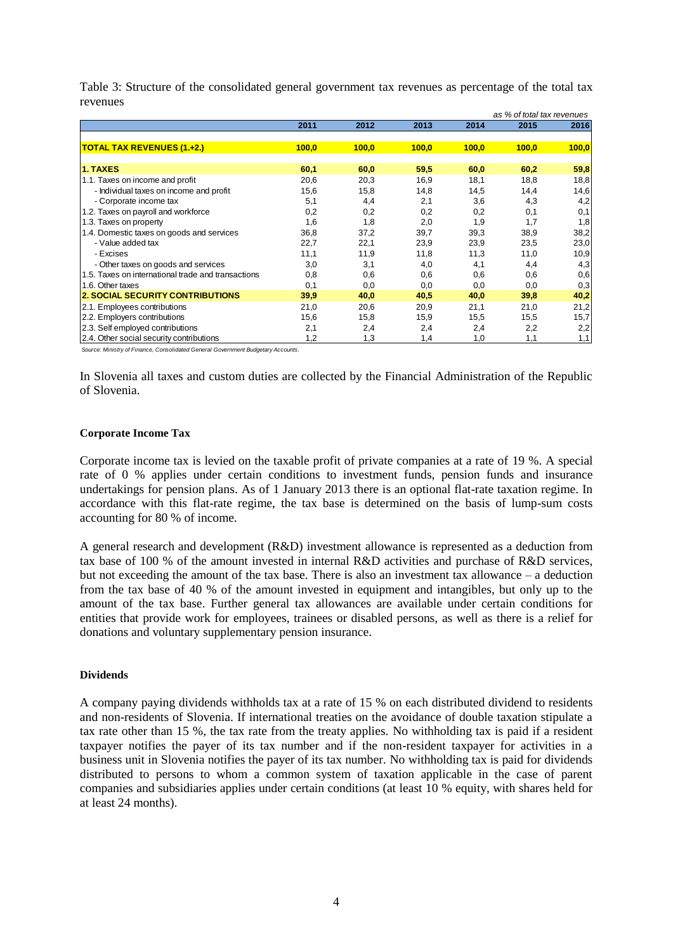|                                                    |       |       |       |       | as % of total tax revenues |       |
|----------------------------------------------------|-------|-------|-------|-------|----------------------------|-------|
|                                                    | 2011  | 2012  | 2013  | 2014  | 2015                       | 2016  |
|                                                    |       |       |       |       |                            |       |
| <b>TOTAL TAX REVENUES (1.+2.)</b>                  | 100,0 | 100,0 | 100,0 | 100,0 | 100,0                      | 100,0 |
|                                                    |       |       |       |       |                            |       |
| 1. TAXES                                           | 60,1  | 60,0  | 59,5  | 60,0  | 60,2                       | 59,8  |
| 1.1. Taxes on income and profit                    | 20,6  | 20,3  | 16,9  | 18,1  | 18,8                       | 18,8  |
| - Individual taxes on income and profit            | 15,6  | 15,8  | 14,8  | 14,5  | 14,4                       | 14,6  |
| - Corporate income tax                             | 5,1   | 4,4   | 2,1   | 3,6   | 4,3                        | 4,2   |
| 1.2. Taxes on payroll and workforce                | 0,2   | 0,2   | 0,2   | 0,2   | 0,1                        | 0,1   |
| 1.3. Taxes on property                             | 1,6   | 1,8   | 2,0   | 1,9   | 1,7                        | 1,8   |
| 1.4. Domestic taxes on goods and services          | 36,8  | 37,2  | 39,7  | 39,3  | 38,9                       | 38,2  |
| - Value added tax                                  | 22,7  | 22,1  | 23,9  | 23,9  | 23,5                       | 23,0  |
| - Excises                                          | 11,1  | 11,9  | 11,8  | 11,3  | 11,0                       | 10,9  |
| - Other taxes on goods and services                | 3,0   | 3,1   | 4,0   | 4,1   | 4,4                        | 4,3   |
| 1.5. Taxes on international trade and transactions | 0,8   | 0,6   | 0,6   | 0,6   | 0,6                        | 0,6   |
| 1.6. Other taxes                                   | 0,1   | 0,0   | 0,0   | 0,0   | 0,0                        | 0,3   |
| <b>2. SOCIAL SECURITY CONTRIBUTIONS</b>            | 39,9  | 40,0  | 40,5  | 40,0  | 39,8                       | 40,2  |
| 2.1. Employees contributions                       | 21,0  | 20,6  | 20,9  | 21,1  | 21,0                       | 21,2  |
| 2.2. Employers contributions                       | 15,6  | 15,8  | 15,9  | 15,5  | 15,5                       | 15,7  |
| 2.3. Self employed contributions                   | 2,1   | 2,4   | 2,4   | 2,4   | 2,2                        | 2,2   |
| 2.4. Other social security contributions           | 1,2   | 1,3   | 1,4   | 1,0   | 1,1                        | 1,1   |

Table 3: Structure of the consolidated general government tax revenues as percentage of the total tax revenues

*Source: Ministry of Finance, Consolidated General Government Budgetary Accounts.*

In Slovenia all taxes and custom duties are collected by the Financial Administration of the Republic of Slovenia.

#### **Corporate Income Tax**

Corporate income tax is levied on the taxable profit of private companies at a rate of 19 %. A special rate of 0 % applies under certain conditions to investment funds, pension funds and insurance undertakings for pension plans. As of 1 January 2013 there is an optional flat-rate taxation regime. In accordance with this flat-rate regime, the tax base is determined on the basis of lump-sum costs accounting for 80 % of income.

A general research and development (R&D) investment allowance is represented as a deduction from tax base of 100 % of the amount invested in internal R&D activities and purchase of R&D services, but not exceeding the amount of the tax base. There is also an investment tax allowance – a deduction from the tax base of 40 % of the amount invested in equipment and intangibles, but only up to the amount of the tax base. Further general tax allowances are available under certain conditions for entities that provide work for employees, trainees or disabled persons, as well as there is a relief for donations and voluntary supplementary pension insurance.

#### **Dividends**

A company paying dividends withholds tax at a rate of 15 % on each distributed dividend to residents and non-residents of Slovenia. If international treaties on the avoidance of double taxation stipulate a tax rate other than 15 %, the tax rate from the treaty applies. No withholding tax is paid if a resident taxpayer notifies the payer of its tax number and if the non-resident taxpayer for activities in a business unit in Slovenia notifies the payer of its tax number. No withholding tax is paid for dividends distributed to persons to whom a common system of taxation applicable in the case of parent companies and subsidiaries applies under certain conditions (at least 10 % equity, with shares held for at least 24 months).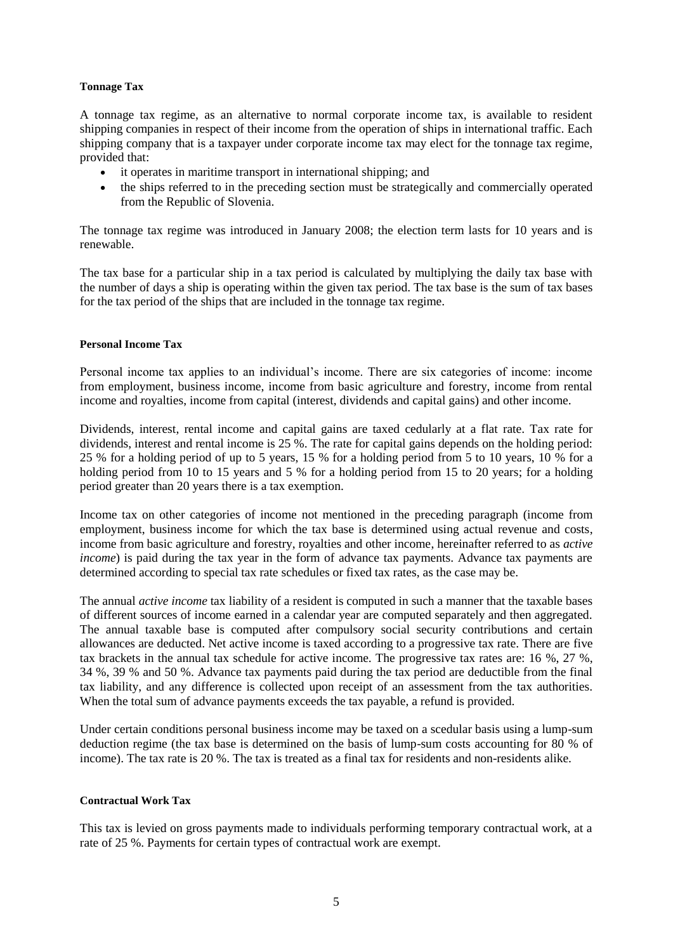#### **Tonnage Tax**

A tonnage tax regime, as an alternative to normal corporate income tax, is available to resident shipping companies in respect of their income from the operation of ships in international traffic. Each shipping company that is a taxpayer under corporate income tax may elect for the tonnage tax regime, provided that:

- it operates in maritime transport in international shipping; and
- the ships referred to in the preceding section must be strategically and commercially operated from the Republic of Slovenia.

The tonnage tax regime was introduced in January 2008; the election term lasts for 10 years and is renewable.

The tax base for a particular ship in a tax period is calculated by multiplying the daily tax base with the number of days a ship is operating within the given tax period. The tax base is the sum of tax bases for the tax period of the ships that are included in the tonnage tax regime.

#### **Personal Income Tax**

Personal income tax applies to an individual's income. There are six categories of income: income from employment, business income, income from basic agriculture and forestry, income from rental income and royalties, income from capital (interest, dividends and capital gains) and other income.

Dividends, interest, rental income and capital gains are taxed cedularly at a flat rate. Tax rate for dividends, interest and rental income is 25 %. The rate for capital gains depends on the holding period: 25 % for a holding period of up to 5 years, 15 % for a holding period from 5 to 10 years, 10 % for a holding period from 10 to 15 years and 5 % for a holding period from 15 to 20 years; for a holding period greater than 20 years there is a tax exemption.

Income tax on other categories of income not mentioned in the preceding paragraph (income from employment, business income for which the tax base is determined using actual revenue and costs, income from basic agriculture and forestry, royalties and other income, hereinafter referred to as *active income*) is paid during the tax year in the form of advance tax payments. Advance tax payments are determined according to special tax rate schedules or fixed tax rates, as the case may be.

The annual *active income* tax liability of a resident is computed in such a manner that the taxable bases of different sources of income earned in a calendar year are computed separately and then aggregated. The annual taxable base is computed after compulsory social security contributions and certain allowances are deducted. Net active income is taxed according to a progressive tax rate. There are five tax brackets in the annual tax schedule for active income. The progressive tax rates are: 16 %, 27 %, 34 %, 39 % and 50 %. Advance tax payments paid during the tax period are deductible from the final tax liability, and any difference is collected upon receipt of an assessment from the tax authorities. When the total sum of advance payments exceeds the tax payable, a refund is provided.

Under certain conditions personal business income may be taxed on a scedular basis using a lump-sum deduction regime (the tax base is determined on the basis of lump-sum costs accounting for 80 % of income). The tax rate is 20 %. The tax is treated as a final tax for residents and non-residents alike.

#### **Contractual Work Tax**

This tax is levied on gross payments made to individuals performing temporary contractual work, at a rate of 25 %. Payments for certain types of contractual work are exempt.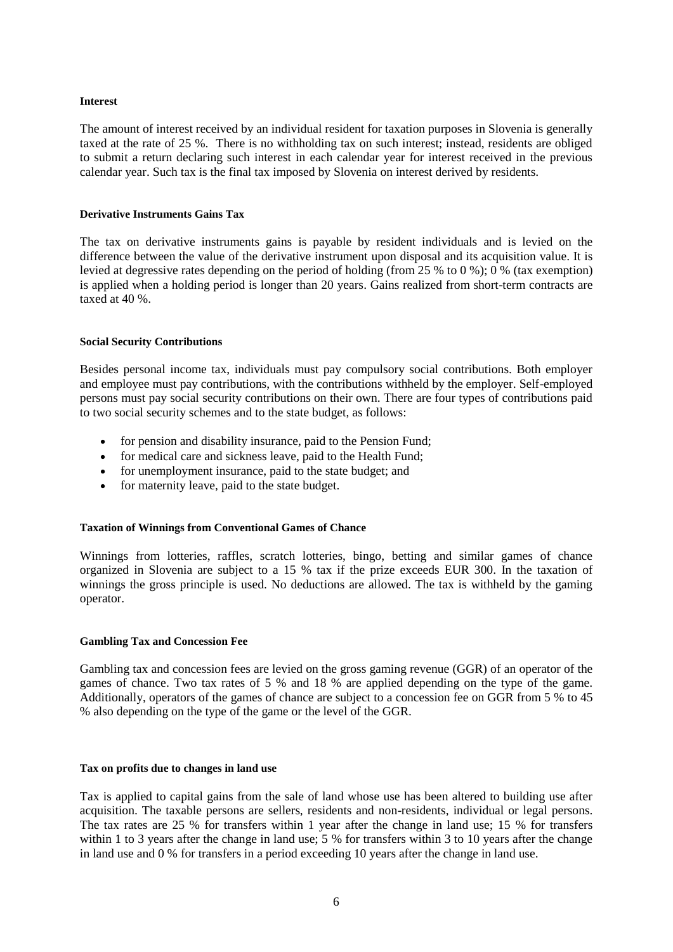#### **Interest**

The amount of interest received by an individual resident for taxation purposes in Slovenia is generally taxed at the rate of 25 %. There is no withholding tax on such interest; instead, residents are obliged to submit a return declaring such interest in each calendar year for interest received in the previous calendar year. Such tax is the final tax imposed by Slovenia on interest derived by residents.

#### **Derivative Instruments Gains Tax**

The tax on derivative instruments gains is payable by resident individuals and is levied on the difference between the value of the derivative instrument upon disposal and its acquisition value. It is levied at degressive rates depending on the period of holding (from 25 % to 0 %); 0 % (tax exemption) is applied when a holding period is longer than 20 years. Gains realized from short-term contracts are taxed at 40 %.

#### **Social Security Contributions**

Besides personal income tax, individuals must pay compulsory social contributions. Both employer and employee must pay contributions, with the contributions withheld by the employer. Self-employed persons must pay social security contributions on their own. There are four types of contributions paid to two social security schemes and to the state budget, as follows:

- for pension and disability insurance, paid to the Pension Fund;
- for medical care and sickness leave, paid to the Health Fund;
- for unemployment insurance, paid to the state budget; and
- for maternity leave, paid to the state budget.

#### **Taxation of Winnings from Conventional Games of Chance**

Winnings from lotteries, raffles, scratch lotteries, bingo, betting and similar games of chance organized in Slovenia are subject to a 15 % tax if the prize exceeds EUR 300. In the taxation of winnings the gross principle is used. No deductions are allowed. The tax is withheld by the gaming operator.

#### **Gambling Tax and Concession Fee**

Gambling tax and concession fees are levied on the gross gaming revenue (GGR) of an operator of the games of chance. Two tax rates of 5 % and 18 % are applied depending on the type of the game. Additionally, operators of the games of chance are subject to a concession fee on GGR from 5 % to 45 % also depending on the type of the game or the level of the GGR.

#### **Tax on profits due to changes in land use**

Tax is applied to capital gains from the sale of land whose use has been altered to building use after acquisition. The taxable persons are sellers, residents and non-residents, individual or legal persons. The tax rates are 25 % for transfers within 1 year after the change in land use; 15 % for transfers within 1 to 3 years after the change in land use; 5 % for transfers within 3 to 10 years after the change in land use and 0 % for transfers in a period exceeding 10 years after the change in land use.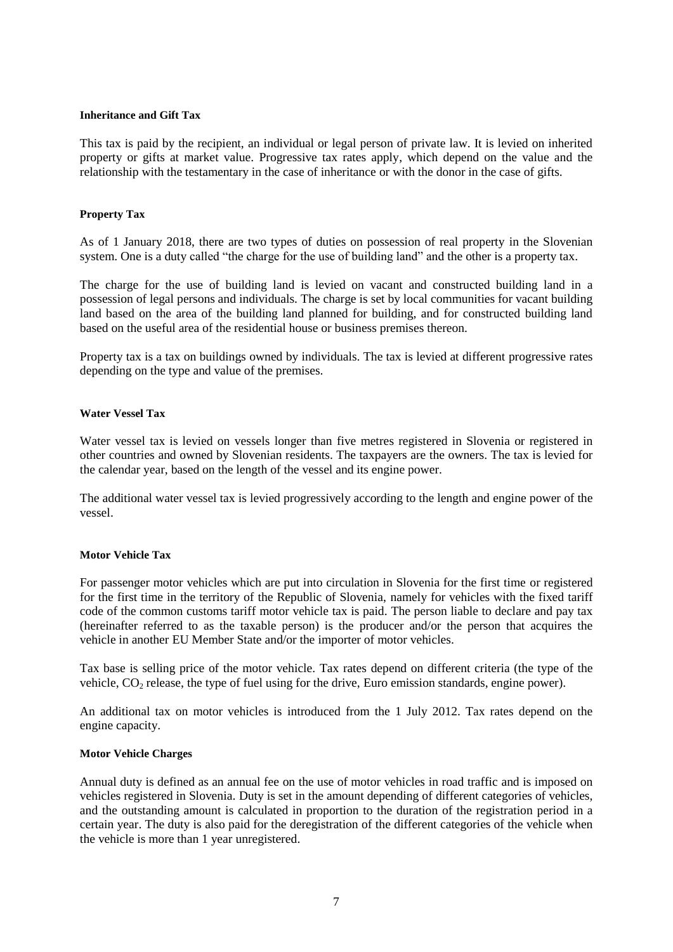#### **Inheritance and Gift Tax**

This tax is paid by the recipient, an individual or legal person of private law. It is levied on inherited property or gifts at market value. Progressive tax rates apply, which depend on the value and the relationship with the testamentary in the case of inheritance or with the donor in the case of gifts.

#### **Property Tax**

As of 1 January 2018, there are two types of duties on possession of real property in the Slovenian system. One is a duty called "the charge for the use of building land" and the other is a property tax.

The charge for the use of building land is levied on vacant and constructed building land in a possession of legal persons and individuals. The charge is set by local communities for vacant building land based on the area of the building land planned for building, and for constructed building land based on the useful area of the residential house or business premises thereon.

Property tax is a tax on buildings owned by individuals. The tax is levied at different progressive rates depending on the type and value of the premises.

#### **Water Vessel Tax**

Water vessel tax is levied on vessels longer than five metres registered in Slovenia or registered in other countries and owned by Slovenian residents. The taxpayers are the owners. The tax is levied for the calendar year, based on the length of the vessel and its engine power.

The additional water vessel tax is levied progressively according to the length and engine power of the vessel.

#### **Motor Vehicle Tax**

For passenger motor vehicles which are put into circulation in Slovenia for the first time or registered for the first time in the territory of the Republic of Slovenia, namely for vehicles with the fixed tariff code of the common customs tariff motor vehicle tax is paid. The person liable to declare and pay tax (hereinafter referred to as the taxable person) is the producer and/or the person that acquires the vehicle in another EU Member State and/or the importer of motor vehicles.

Tax base is selling price of the motor vehicle. Tax rates depend on different criteria (the type of the vehicle,  $CO<sub>2</sub>$  release, the type of fuel using for the drive, Euro emission standards, engine power).

An additional tax on motor vehicles is introduced from the 1 July 2012. Tax rates depend on the engine capacity.

#### **Motor Vehicle Charges**

Annual duty is defined as an annual fee on the use of motor vehicles in road traffic and is imposed on vehicles registered in Slovenia. Duty is set in the amount depending of different categories of vehicles, and the outstanding amount is calculated in proportion to the duration of the registration period in a certain year. The duty is also paid for the deregistration of the different categories of the vehicle when the vehicle is more than 1 year unregistered.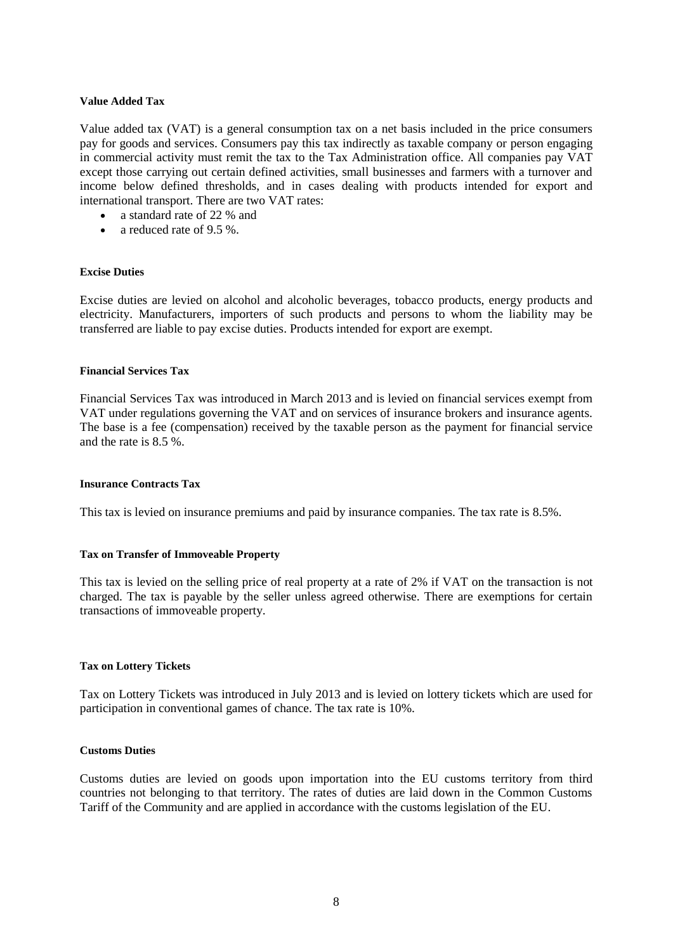#### **Value Added Tax**

Value added tax (VAT) is a general consumption tax on a net basis included in the price consumers pay for goods and services. Consumers pay this tax indirectly as taxable company or person engaging in commercial activity must remit the tax to the Tax Administration office. All companies pay VAT except those carrying out certain defined activities, small businesses and farmers with a turnover and income below defined thresholds, and in cases dealing with products intended for export and international transport. There are two VAT rates:

- a standard rate of 22 % and
- a reduced rate of  $9.5\%$ .

#### **Excise Duties**

Excise duties are levied on alcohol and alcoholic beverages, tobacco products, energy products and electricity. Manufacturers, importers of such products and persons to whom the liability may be transferred are liable to pay excise duties. Products intended for export are exempt.

#### **Financial Services Tax**

Financial Services Tax was introduced in March 2013 and is levied on financial services exempt from VAT under regulations governing the VAT and on services of insurance brokers and insurance agents. The base is a fee (compensation) received by the taxable person as the payment for financial service and the rate is 8.5 %.

#### **Insurance Contracts Tax**

This tax is levied on insurance premiums and paid by insurance companies. The tax rate is 8.5%.

#### **Tax on Transfer of Immoveable Property**

This tax is levied on the selling price of real property at a rate of 2% if VAT on the transaction is not charged. The tax is payable by the seller unless agreed otherwise. There are exemptions for certain transactions of immoveable property.

#### **Tax on Lottery Tickets**

Tax on Lottery Tickets was introduced in July 2013 and is levied on lottery tickets which are used for participation in conventional games of chance. The tax rate is 10%.

## **Customs Duties**

Customs duties are levied on goods upon importation into the EU customs territory from third countries not belonging to that territory. The rates of duties are laid down in the Common Customs Tariff of the Community and are applied in accordance with the customs legislation of the EU.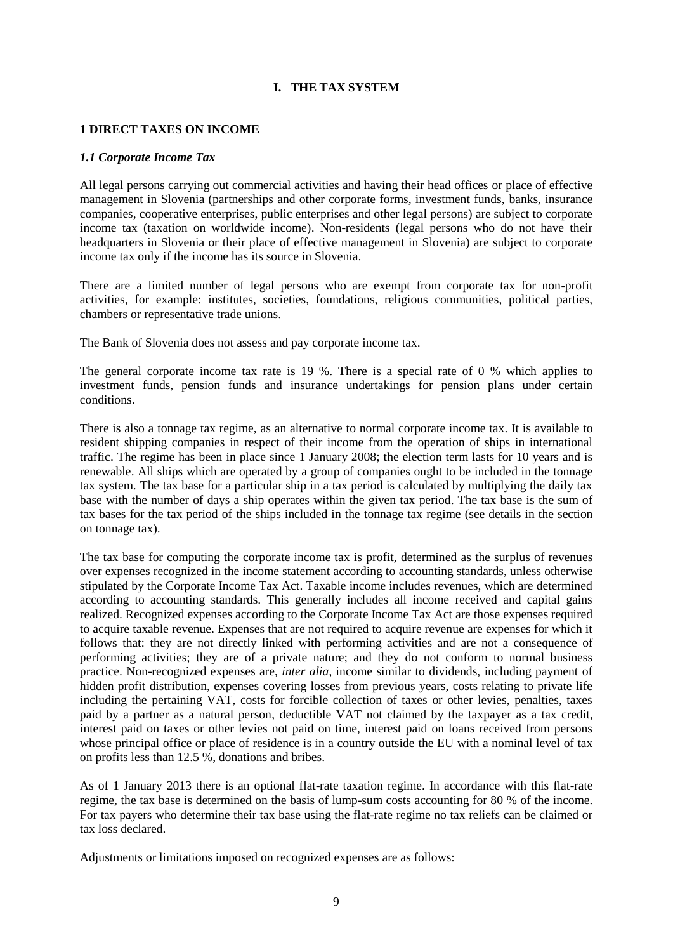## **I. THE TAX SYSTEM**

#### **1 DIRECT TAXES ON INCOME**

#### *1.1 Corporate Income Tax*

All legal persons carrying out commercial activities and having their head offices or place of effective management in Slovenia (partnerships and other corporate forms, investment funds, banks, insurance companies, cooperative enterprises, public enterprises and other legal persons) are subject to corporate income tax (taxation on worldwide income). Non-residents (legal persons who do not have their headquarters in Slovenia or their place of effective management in Slovenia) are subject to corporate income tax only if the income has its source in Slovenia.

There are a limited number of legal persons who are exempt from corporate tax for non-profit activities, for example: institutes, societies, foundations, religious communities, political parties, chambers or representative trade unions.

The Bank of Slovenia does not assess and pay corporate income tax.

The general corporate income tax rate is 19 %. There is a special rate of 0 % which applies to investment funds, pension funds and insurance undertakings for pension plans under certain conditions.

There is also a tonnage tax regime, as an alternative to normal corporate income tax. It is available to resident shipping companies in respect of their income from the operation of ships in international traffic. The regime has been in place since 1 January 2008; the election term lasts for 10 years and is renewable. All ships which are operated by a group of companies ought to be included in the tonnage tax system. The tax base for a particular ship in a tax period is calculated by multiplying the daily tax base with the number of days a ship operates within the given tax period. The tax base is the sum of tax bases for the tax period of the ships included in the tonnage tax regime (see details in the section on tonnage tax).

The tax base for computing the corporate income tax is profit, determined as the surplus of revenues over expenses recognized in the income statement according to accounting standards, unless otherwise stipulated by the Corporate Income Tax Act. Taxable income includes revenues, which are determined according to accounting standards. This generally includes all income received and capital gains realized. Recognized expenses according to the Corporate Income Tax Act are those expenses required to acquire taxable revenue. Expenses that are not required to acquire revenue are expenses for which it follows that: they are not directly linked with performing activities and are not a consequence of performing activities; they are of a private nature; and they do not conform to normal business practice. Non-recognized expenses are, *inter alia*, income similar to dividends, including payment of hidden profit distribution, expenses covering losses from previous years, costs relating to private life including the pertaining VAT, costs for forcible collection of taxes or other levies, penalties, taxes paid by a partner as a natural person, deductible VAT not claimed by the taxpayer as a tax credit, interest paid on taxes or other levies not paid on time, interest paid on loans received from persons whose principal office or place of residence is in a country outside the EU with a nominal level of tax on profits less than 12.5 %, donations and bribes.

As of 1 January 2013 there is an optional flat-rate taxation regime. In accordance with this flat-rate regime, the tax base is determined on the basis of lump-sum costs accounting for 80 % of the income. For tax payers who determine their tax base using the flat-rate regime no tax reliefs can be claimed or tax loss declared.

Adjustments or limitations imposed on recognized expenses are as follows: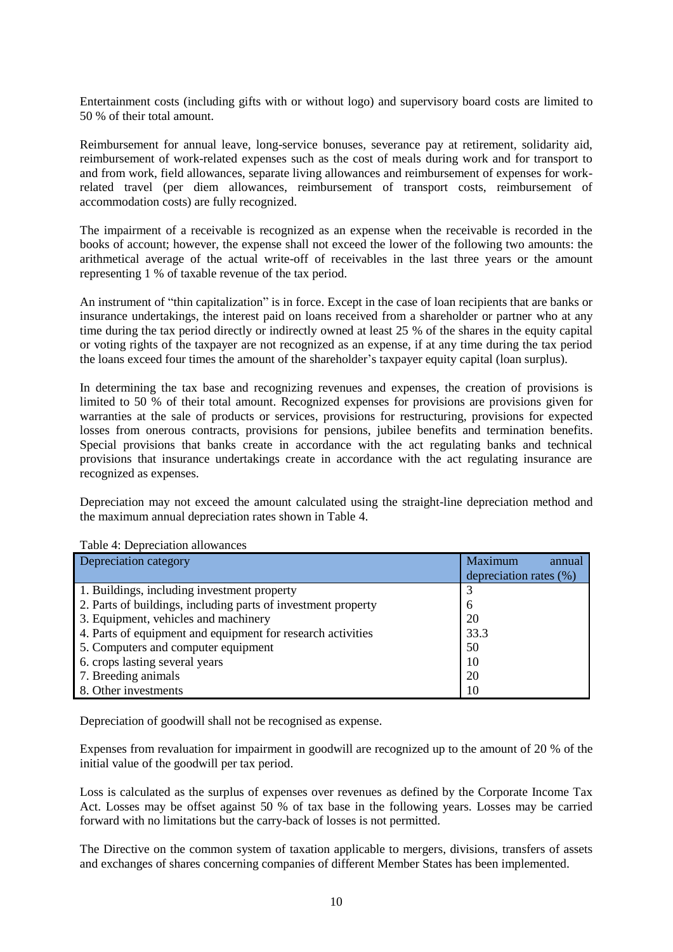Entertainment costs (including gifts with or without logo) and supervisory board costs are limited to 50 % of their total amount.

Reimbursement for annual leave, long-service bonuses, severance pay at retirement, solidarity aid, reimbursement of work-related expenses such as the cost of meals during work and for transport to and from work, field allowances, separate living allowances and reimbursement of expenses for workrelated travel (per diem allowances, reimbursement of transport costs, reimbursement of accommodation costs) are fully recognized.

The impairment of a receivable is recognized as an expense when the receivable is recorded in the books of account; however, the expense shall not exceed the lower of the following two amounts: the arithmetical average of the actual write-off of receivables in the last three years or the amount representing 1 % of taxable revenue of the tax period.

An instrument of "thin capitalization" is in force. Except in the case of loan recipients that are banks or insurance undertakings, the interest paid on loans received from a shareholder or partner who at any time during the tax period directly or indirectly owned at least 25 % of the shares in the equity capital or voting rights of the taxpayer are not recognized as an expense, if at any time during the tax period the loans exceed four times the amount of the shareholder's taxpayer equity capital (loan surplus).

In determining the tax base and recognizing revenues and expenses, the creation of provisions is limited to 50 % of their total amount. Recognized expenses for provisions are provisions given for warranties at the sale of products or services, provisions for restructuring, provisions for expected losses from onerous contracts, provisions for pensions, jubilee benefits and termination benefits. Special provisions that banks create in accordance with the act regulating banks and technical provisions that insurance undertakings create in accordance with the act regulating insurance are recognized as expenses.

Depreciation may not exceed the amount calculated using the straight-line depreciation method and the maximum annual depreciation rates shown in Table 4.

| Depreciation category                                         | <b>Maximum</b><br>annual<br>depreciation rates (%) |
|---------------------------------------------------------------|----------------------------------------------------|
| 1. Buildings, including investment property                   |                                                    |
| 2. Parts of buildings, including parts of investment property | <sub>6</sub>                                       |
| 3. Equipment, vehicles and machinery                          | 20                                                 |
| 4. Parts of equipment and equipment for research activities   | 33.3                                               |
| 5. Computers and computer equipment                           | 50                                                 |
| 6. crops lasting several years                                | 10                                                 |
| 7. Breeding animals                                           | 20                                                 |
| 8. Other investments                                          | 10                                                 |

Table 4: Depreciation allowances

Depreciation of goodwill shall not be recognised as expense.

Expenses from revaluation for impairment in goodwill are recognized up to the amount of 20 % of the initial value of the goodwill per tax period.

Loss is calculated as the surplus of expenses over revenues as defined by the Corporate Income Tax Act. Losses may be offset against 50 % of tax base in the following years. Losses may be carried forward with no limitations but the carry-back of losses is not permitted.

The Directive on the common system of taxation applicable to mergers, divisions, transfers of assets and exchanges of shares concerning companies of different Member States has been implemented.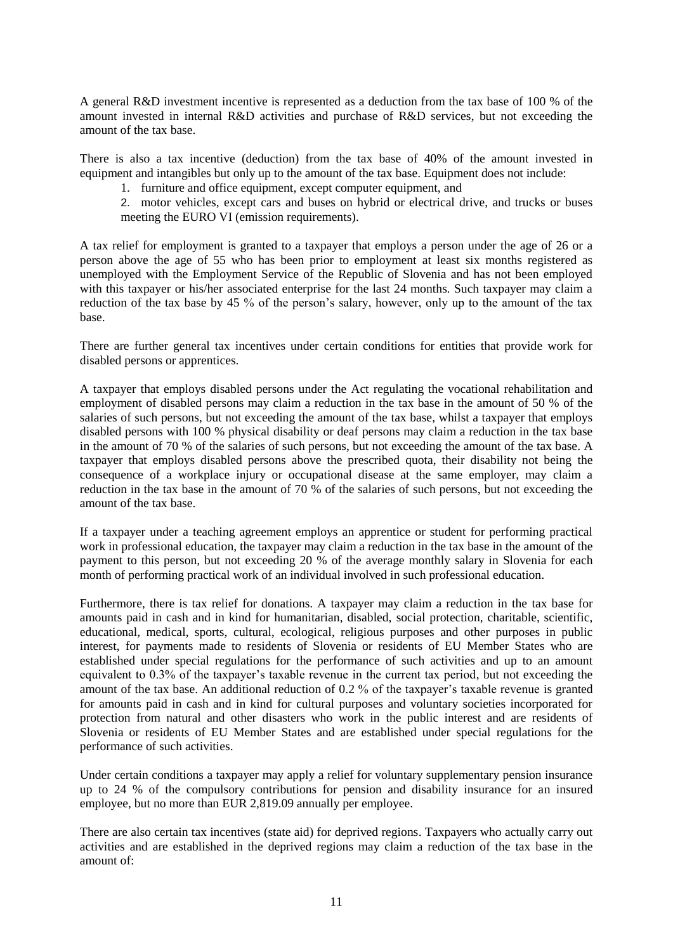A general R&D investment incentive is represented as a deduction from the tax base of 100 % of the amount invested in internal R&D activities and purchase of R&D services, but not exceeding the amount of the tax base.

There is also a tax incentive (deduction) from the tax base of 40% of the amount invested in equipment and intangibles but only up to the amount of the tax base. Equipment does not include:

1. furniture and office equipment, except computer equipment, and

2. motor vehicles, except cars and buses on hybrid or electrical drive, and trucks or buses meeting the EURO VI (emission requirements).

A tax relief for employment is granted to a taxpayer that employs a person under the age of 26 or a person above the age of 55 who has been prior to employment at least six months registered as unemployed with the Employment Service of the Republic of Slovenia and has not been employed with this taxpayer or his/her associated enterprise for the last 24 months. Such taxpayer may claim a reduction of the tax base by 45 % of the person's salary, however, only up to the amount of the tax base.

There are further general tax incentives under certain conditions for entities that provide work for disabled persons or apprentices.

A taxpayer that employs disabled persons under the Act regulating the vocational rehabilitation and employment of disabled persons may claim a reduction in the tax base in the amount of 50 % of the salaries of such persons, but not exceeding the amount of the tax base, whilst a taxpayer that employs disabled persons with 100 % physical disability or deaf persons may claim a reduction in the tax base in the amount of 70 % of the salaries of such persons, but not exceeding the amount of the tax base. A taxpayer that employs disabled persons above the prescribed quota, their disability not being the consequence of a workplace injury or occupational disease at the same employer, may claim a reduction in the tax base in the amount of 70 % of the salaries of such persons, but not exceeding the amount of the tax base.

If a taxpayer under a teaching agreement employs an apprentice or student for performing practical work in professional education, the taxpayer may claim a reduction in the tax base in the amount of the payment to this person, but not exceeding 20 % of the average monthly salary in Slovenia for each month of performing practical work of an individual involved in such professional education.

Furthermore, there is tax relief for donations. A taxpayer may claim a reduction in the tax base for amounts paid in cash and in kind for humanitarian, disabled, social protection, charitable, scientific, educational, medical, sports, cultural, ecological, religious purposes and other purposes in public interest, for payments made to residents of Slovenia or residents of EU Member States who are established under special regulations for the performance of such activities and up to an amount equivalent to 0.3% of the taxpayer's taxable revenue in the current tax period, but not exceeding the amount of the tax base. An additional reduction of 0.2 % of the taxpayer's taxable revenue is granted for amounts paid in cash and in kind for cultural purposes and voluntary societies incorporated for protection from natural and other disasters who work in the public interest and are residents of Slovenia or residents of EU Member States and are established under special regulations for the performance of such activities.

Under certain conditions a taxpayer may apply a relief for voluntary supplementary pension insurance up to 24 % of the compulsory contributions for pension and disability insurance for an insured employee, but no more than EUR 2,819.09 annually per employee.

There are also certain tax incentives (state aid) for deprived regions. Taxpayers who actually carry out activities and are established in the deprived regions may claim a reduction of the tax base in the amount of: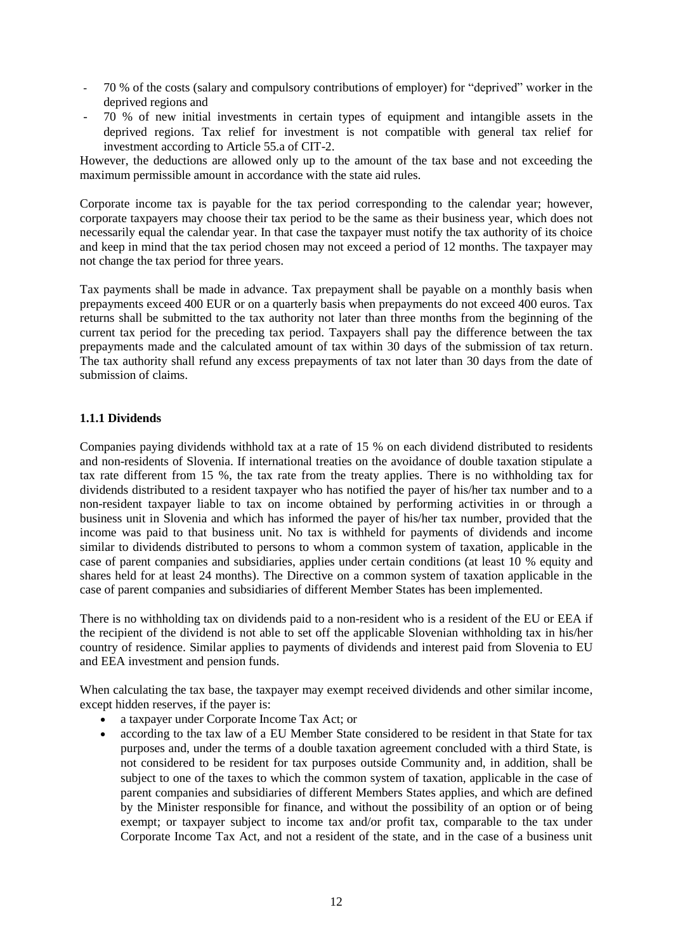- 70 % of the costs (salary and compulsory contributions of employer) for "deprived" worker in the deprived regions and
- 70 % of new initial investments in certain types of equipment and intangible assets in the deprived regions. Tax relief for investment is not compatible with general tax relief for investment according to Article 55.a of CIT-2.

However, the deductions are allowed only up to the amount of the tax base and not exceeding the maximum permissible amount in accordance with the state aid rules.

Corporate income tax is payable for the tax period corresponding to the calendar year; however, corporate taxpayers may choose their tax period to be the same as their business year, which does not necessarily equal the calendar year. In that case the taxpayer must notify the tax authority of its choice and keep in mind that the tax period chosen may not exceed a period of 12 months. The taxpayer may not change the tax period for three years.

Tax payments shall be made in advance. Tax prepayment shall be payable on a monthly basis when prepayments exceed 400 EUR or on a quarterly basis when prepayments do not exceed 400 euros. Tax returns shall be submitted to the tax authority not later than three months from the beginning of the current tax period for the preceding tax period. Taxpayers shall pay the difference between the tax prepayments made and the calculated amount of tax within 30 days of the submission of tax return. The tax authority shall refund any excess prepayments of tax not later than 30 days from the date of submission of claims.

## **1.1.1 Dividends**

Companies paying dividends withhold tax at a rate of 15 % on each dividend distributed to residents and non-residents of Slovenia. If international treaties on the avoidance of double taxation stipulate a tax rate different from 15 %, the tax rate from the treaty applies. There is no withholding tax for dividends distributed to a resident taxpayer who has notified the payer of his/her tax number and to a non-resident taxpayer liable to tax on income obtained by performing activities in or through a business unit in Slovenia and which has informed the payer of his/her tax number, provided that the income was paid to that business unit. No tax is withheld for payments of dividends and income similar to dividends distributed to persons to whom a common system of taxation, applicable in the case of parent companies and subsidiaries, applies under certain conditions (at least 10 % equity and shares held for at least 24 months). The Directive on a common system of taxation applicable in the case of parent companies and subsidiaries of different Member States has been implemented.

There is no withholding tax on dividends paid to a non-resident who is a resident of the EU or EEA if the recipient of the dividend is not able to set off the applicable Slovenian withholding tax in his/her country of residence. Similar applies to payments of dividends and interest paid from Slovenia to EU and EEA investment and pension funds.

When calculating the tax base, the taxpayer may exempt received dividends and other similar income, except hidden reserves, if the payer is:

- a taxpayer under Corporate Income Tax Act; or
- according to the tax law of a EU Member State considered to be resident in that State for tax purposes and, under the terms of a double taxation agreement concluded with a third State, is not considered to be resident for tax purposes outside Community and, in addition, shall be subject to one of the taxes to which the common system of taxation, applicable in the case of parent companies and subsidiaries of different Members States applies, and which are defined by the Minister responsible for finance, and without the possibility of an option or of being exempt; or taxpayer subject to income tax and/or profit tax, comparable to the tax under Corporate Income Tax Act, and not a resident of the state, and in the case of a business unit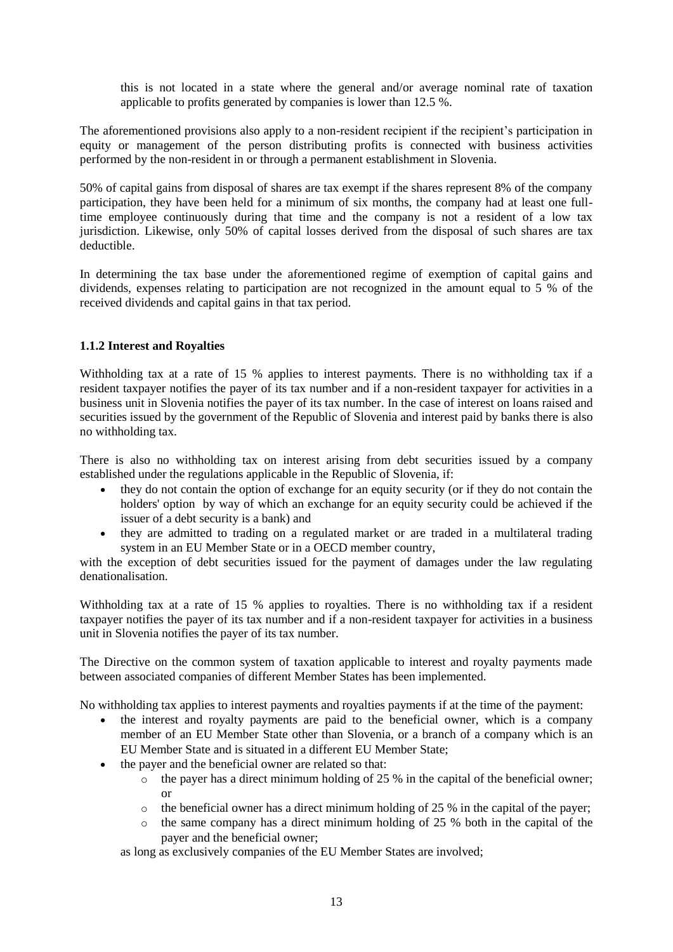this is not located in a state where the general and/or average nominal rate of taxation applicable to profits generated by companies is lower than 12.5 %.

The aforementioned provisions also apply to a non-resident recipient if the recipient's participation in equity or management of the person distributing profits is connected with business activities performed by the non-resident in or through a permanent establishment in Slovenia.

50% of capital gains from disposal of shares are tax exempt if the shares represent 8% of the company participation, they have been held for a minimum of six months, the company had at least one fulltime employee continuously during that time and the company is not a resident of a low tax jurisdiction. Likewise, only 50% of capital losses derived from the disposal of such shares are tax deductible.

In determining the tax base under the aforementioned regime of exemption of capital gains and dividends, expenses relating to participation are not recognized in the amount equal to 5 % of the received dividends and capital gains in that tax period.

## **1.1.2 Interest and Royalties**

Withholding tax at a rate of 15 % applies to interest payments. There is no withholding tax if a resident taxpayer notifies the payer of its tax number and if a non-resident taxpayer for activities in a business unit in Slovenia notifies the payer of its tax number. In the case of interest on loans raised and securities issued by the government of the Republic of Slovenia and interest paid by banks there is also no withholding tax.

There is also no withholding tax on interest arising from debt securities issued by a company established under the regulations applicable in the Republic of Slovenia, if:

- they do not contain the option of exchange for an equity security (or if they do not contain the holders' option by way of which an exchange for an equity security could be achieved if the issuer of a debt security is a bank) and
- they are admitted to trading on a regulated market or are traded in a multilateral trading system in an EU Member State or in a OECD member country,

with the exception of debt securities issued for the payment of damages under the law regulating denationalisation.

Withholding tax at a rate of 15 % applies to royalties. There is no withholding tax if a resident taxpayer notifies the payer of its tax number and if a non-resident taxpayer for activities in a business unit in Slovenia notifies the payer of its tax number.

The Directive on the common system of taxation applicable to interest and royalty payments made between associated companies of different Member States has been implemented.

No withholding tax applies to interest payments and royalties payments if at the time of the payment:

- the interest and royalty payments are paid to the beneficial owner, which is a company member of an EU Member State other than Slovenia, or a branch of a company which is an EU Member State and is situated in a different EU Member State;
- the payer and the beneficial owner are related so that:
	- $\circ$  the payer has a direct minimum holding of 25 % in the capital of the beneficial owner; or
	- $\circ$  the beneficial owner has a direct minimum holding of 25 % in the capital of the payer;
	- o the same company has a direct minimum holding of 25 % both in the capital of the payer and the beneficial owner;

as long as exclusively companies of the EU Member States are involved;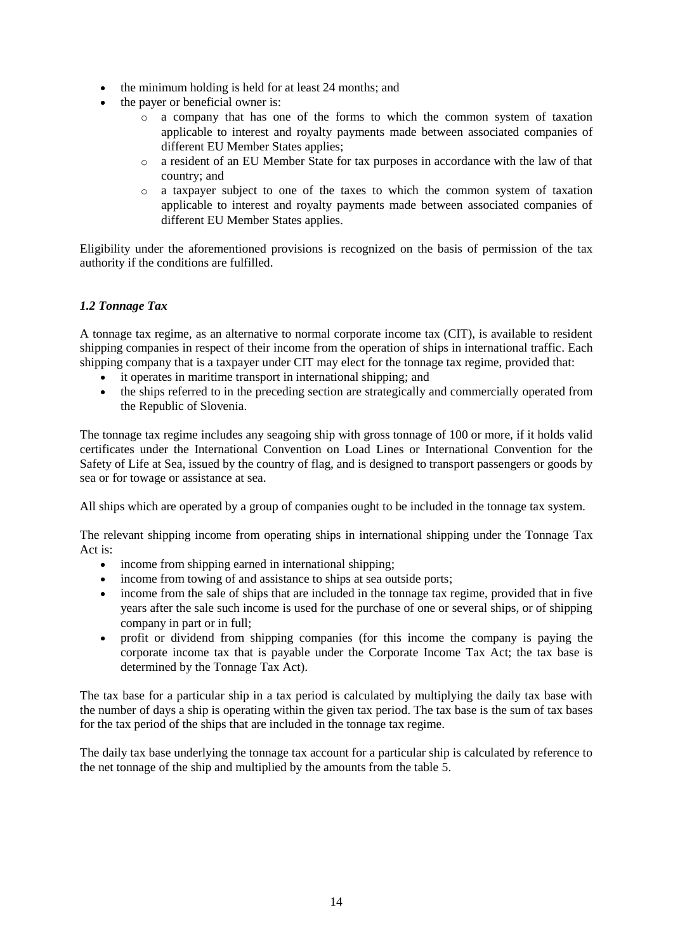- the minimum holding is held for at least 24 months; and
- the payer or beneficial owner is:
	- o a company that has one of the forms to which the common system of taxation applicable to interest and royalty payments made between associated companies of different EU Member States applies;
	- o a resident of an EU Member State for tax purposes in accordance with the law of that country; and
	- o a taxpayer subject to one of the taxes to which the common system of taxation applicable to interest and royalty payments made between associated companies of different EU Member States applies.

Eligibility under the aforementioned provisions is recognized on the basis of permission of the tax authority if the conditions are fulfilled.

## *1.2 Tonnage Tax*

A tonnage tax regime, as an alternative to normal corporate income tax (CIT), is available to resident shipping companies in respect of their income from the operation of ships in international traffic. Each shipping company that is a taxpayer under CIT may elect for the tonnage tax regime, provided that:

- it operates in maritime transport in international shipping; and
- the ships referred to in the preceding section are strategically and commercially operated from the Republic of Slovenia.

The tonnage tax regime includes any seagoing ship with gross tonnage of 100 or more, if it holds valid certificates under the International Convention on Load Lines or International Convention for the Safety of Life at Sea, issued by the country of flag, and is designed to transport passengers or goods by sea or for towage or assistance at sea.

All ships which are operated by a group of companies ought to be included in the tonnage tax system.

The relevant shipping income from operating ships in international shipping under the Tonnage Tax Act is:

- income from shipping earned in international shipping;
- income from towing of and assistance to ships at sea outside ports;
- income from the sale of ships that are included in the tonnage tax regime, provided that in five years after the sale such income is used for the purchase of one or several ships, or of shipping company in part or in full;
- profit or dividend from shipping companies (for this income the company is paying the corporate income tax that is payable under the Corporate Income Tax Act; the tax base is determined by the Tonnage Tax Act).

The tax base for a particular ship in a tax period is calculated by multiplying the daily tax base with the number of days a ship is operating within the given tax period. The tax base is the sum of tax bases for the tax period of the ships that are included in the tonnage tax regime.

The daily tax base underlying the tonnage tax account for a particular ship is calculated by reference to the net tonnage of the ship and multiplied by the amounts from the table  $\bar{5}$ .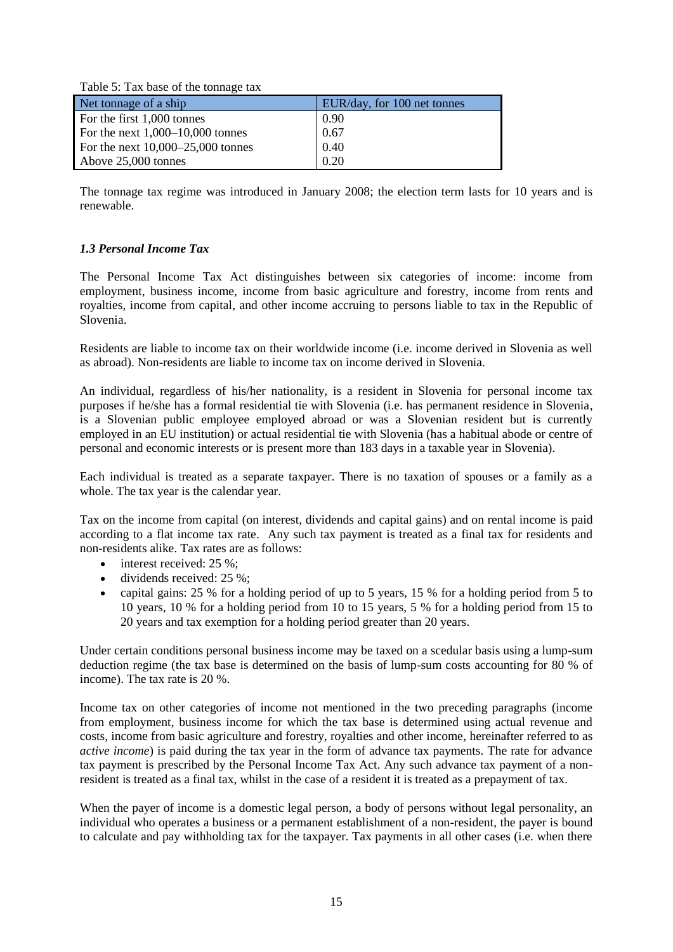| Table 5. Tax base of the tomage tax |                             |
|-------------------------------------|-----------------------------|
| Net tonnage of a ship               | EUR/day, for 100 net tonnes |
| For the first 1,000 tonnes          | 0.90                        |
| For the next $1,000-10,000$ tonnes  | 0.67                        |
| For the next $10,000-25,000$ tonnes | 0.40                        |
| Above 25,000 tonnes                 | 0.20                        |

The tonnage tax regime was introduced in January 2008; the election term lasts for 10 years and is renewable.

## *1.3 Personal Income Tax*

Table 5: Tax base of the tonnage tax

The Personal Income Tax Act distinguishes between six categories of income: income from employment, business income, income from basic agriculture and forestry, income from rents and royalties, income from capital, and other income accruing to persons liable to tax in the Republic of Slovenia.

Residents are liable to income tax on their worldwide income (i.e. income derived in Slovenia as well as abroad). Non-residents are liable to income tax on income derived in Slovenia.

An individual, regardless of his/her nationality, is a resident in Slovenia for personal income tax purposes if he/she has a formal residential tie with Slovenia (i.e. has permanent residence in Slovenia, is a Slovenian public employee employed abroad or was a Slovenian resident but is currently employed in an EU institution) or actual residential tie with Slovenia (has a habitual abode or centre of personal and economic interests or is present more than 183 days in a taxable year in Slovenia).

Each individual is treated as a separate taxpayer. There is no taxation of spouses or a family as a whole. The tax year is the calendar year.

Tax on the income from capital (on interest, dividends and capital gains) and on rental income is paid according to a flat income tax rate. Any such tax payment is treated as a final tax for residents and non-residents alike. Tax rates are as follows:

- $\bullet$  interest received: 25 %;
- dividends received: 25 %;
- capital gains: 25 % for a holding period of up to 5 years, 15 % for a holding period from 5 to 10 years, 10 % for a holding period from 10 to 15 years, 5 % for a holding period from 15 to 20 years and tax exemption for a holding period greater than 20 years.

Under certain conditions personal business income may be taxed on a scedular basis using a lump-sum deduction regime (the tax base is determined on the basis of lump-sum costs accounting for 80 % of income). The tax rate is 20 %.

Income tax on other categories of income not mentioned in the two preceding paragraphs (income from employment, business income for which the tax base is determined using actual revenue and costs, income from basic agriculture and forestry, royalties and other income, hereinafter referred to as *active income*) is paid during the tax year in the form of advance tax payments. The rate for advance tax payment is prescribed by the Personal Income Tax Act. Any such advance tax payment of a nonresident is treated as a final tax, whilst in the case of a resident it is treated as a prepayment of tax.

When the payer of income is a domestic legal person, a body of persons without legal personality, an individual who operates a business or a permanent establishment of a non-resident, the payer is bound to calculate and pay withholding tax for the taxpayer. Tax payments in all other cases (i.e. when there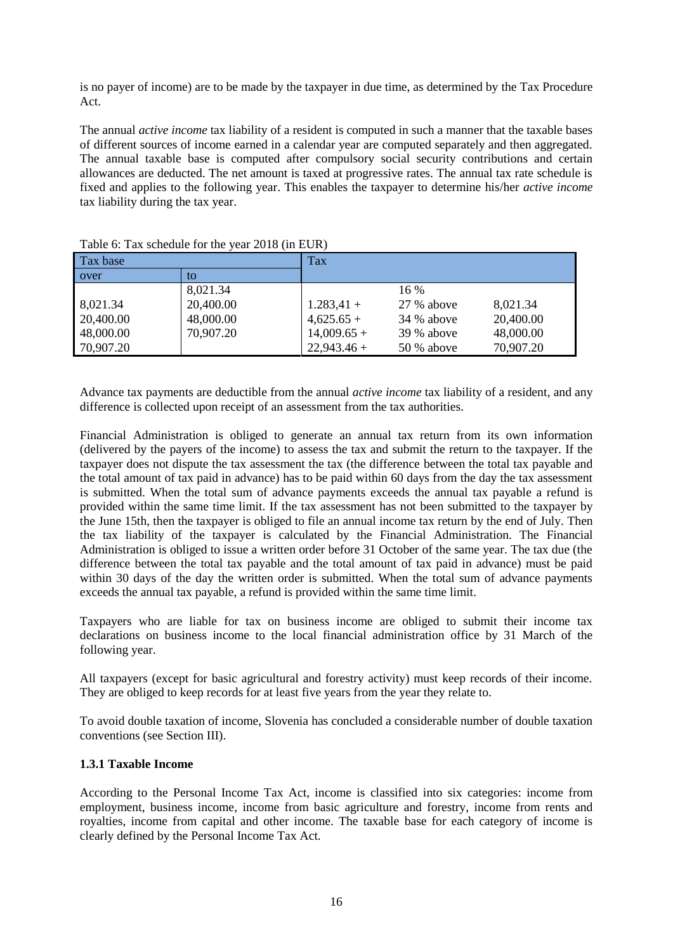is no payer of income) are to be made by the taxpayer in due time, as determined by the Tax Procedure Act.

The annual *active income* tax liability of a resident is computed in such a manner that the taxable bases of different sources of income earned in a calendar year are computed separately and then aggregated. The annual taxable base is computed after compulsory social security contributions and certain allowances are deducted. The net amount is taxed at progressive rates. The annual tax rate schedule is fixed and applies to the following year. This enables the taxpayer to determine his/her *active income* tax liability during the tax year.

| $10000$ of $100000000$ for the fear 2010 (in Eq. i. |           |              |              |           |
|-----------------------------------------------------|-----------|--------------|--------------|-----------|
| Tax base                                            |           | Tax          |              |           |
| over                                                | to        |              |              |           |
|                                                     | 8,021.34  |              | $16\%$       |           |
| 8,021.34                                            | 20,400.00 | $1.283,41+$  | 27 % above   | 8,021.34  |
| 20,400.00                                           | 48,000.00 | $4,625.65+$  | 34 % above   | 20,400.00 |
| 48,000.00                                           | 70,907.20 | $14,009.65+$ | $39%$ above  | 48,000.00 |
| 70,907.20                                           |           | $22,943.46+$ | $50\%$ above | 70,907.20 |

Table 6: Tax schedule for the year 2018 (in EUR)

Advance tax payments are deductible from the annual *active income* tax liability of a resident, and any difference is collected upon receipt of an assessment from the tax authorities.

Financial Administration is obliged to generate an annual tax return from its own information (delivered by the payers of the income) to assess the tax and submit the return to the taxpayer. If the taxpayer does not dispute the tax assessment the tax (the difference between the total tax payable and the total amount of tax paid in advance) has to be paid within 60 days from the day the tax assessment is submitted. When the total sum of advance payments exceeds the annual tax payable a refund is provided within the same time limit. If the tax assessment has not been submitted to the taxpayer by the June 15th, then the taxpayer is obliged to file an annual income tax return by the end of July. Then the tax liability of the taxpayer is calculated by the Financial Administration. The Financial Administration is obliged to issue a written order before 31 October of the same year. The tax due (the difference between the total tax payable and the total amount of tax paid in advance) must be paid within 30 days of the day the written order is submitted. When the total sum of advance payments exceeds the annual tax payable, a refund is provided within the same time limit.

Taxpayers who are liable for tax on business income are obliged to submit their income tax declarations on business income to the local financial administration office by 31 March of the following year.

All taxpayers (except for basic agricultural and forestry activity) must keep records of their income. They are obliged to keep records for at least five years from the year they relate to.

To avoid double taxation of income, Slovenia has concluded a considerable number of double taxation conventions (see Section III).

#### **1.3.1 Taxable Income**

According to the Personal Income Tax Act, income is classified into six categories: income from employment, business income, income from basic agriculture and forestry, income from rents and royalties, income from capital and other income. The taxable base for each category of income is clearly defined by the Personal Income Tax Act.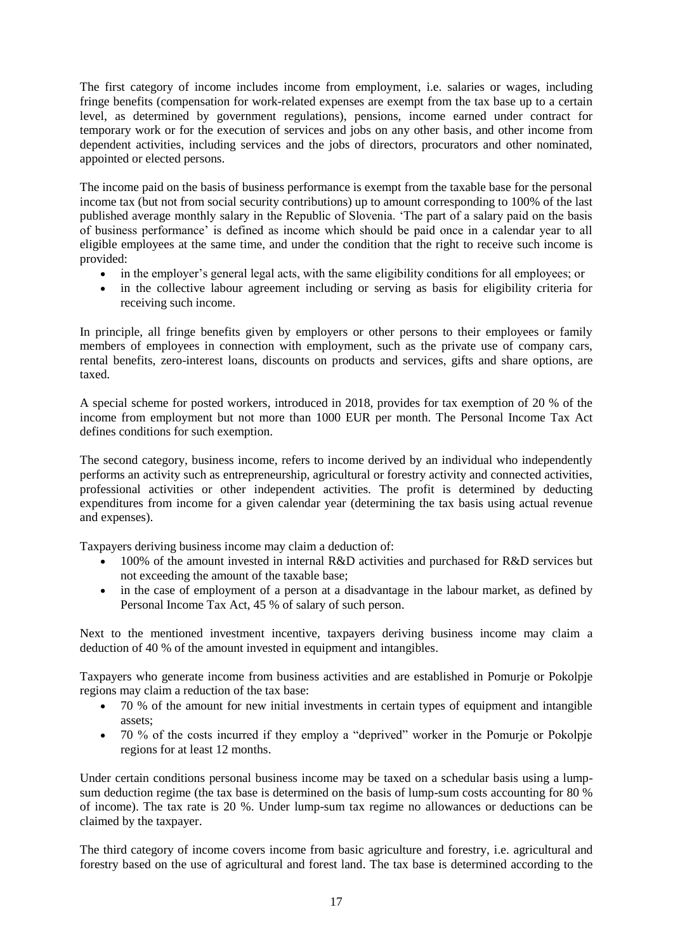The first category of income includes income from employment, i.e. salaries or wages, including fringe benefits (compensation for work-related expenses are exempt from the tax base up to a certain level, as determined by government regulations), pensions, income earned under contract for temporary work or for the execution of services and jobs on any other basis, and other income from dependent activities, including services and the jobs of directors, procurators and other nominated, appointed or elected persons.

The income paid on the basis of business performance is exempt from the taxable base for the personal income tax (but not from social security contributions) up to amount corresponding to 100% of the last published average monthly salary in the Republic of Slovenia. 'The part of a salary paid on the basis of business performance' is defined as income which should be paid once in a calendar year to all eligible employees at the same time, and under the condition that the right to receive such income is provided:

- in the employer's general legal acts, with the same eligibility conditions for all employees; or
- in the collective labour agreement including or serving as basis for eligibility criteria for receiving such income.

In principle, all fringe benefits given by employers or other persons to their employees or family members of employees in connection with employment, such as the private use of company cars, rental benefits, zero-interest loans, discounts on products and services, gifts and share options, are taxed.

A special scheme for posted workers, introduced in 2018, provides for tax exemption of 20 % of the income from employment but not more than 1000 EUR per month. The Personal Income Tax Act defines conditions for such exemption.

The second category, business income, refers to income derived by an individual who independently performs an activity such as entrepreneurship, agricultural or forestry activity and connected activities, professional activities or other independent activities. The profit is determined by deducting expenditures from income for a given calendar year (determining the tax basis using actual revenue and expenses).

Taxpayers deriving business income may claim a deduction of:

- 100% of the amount invested in internal R&D activities and purchased for R&D services but not exceeding the amount of the taxable base;
- in the case of employment of a person at a disadvantage in the labour market, as defined by Personal Income Tax Act, 45 % of salary of such person.

Next to the mentioned investment incentive, taxpayers deriving business income may claim a deduction of 40 % of the amount invested in equipment and intangibles.

Taxpayers who generate income from business activities and are established in Pomurje or Pokolpje regions may claim a reduction of the tax base:

- 70 % of the amount for new initial investments in certain types of equipment and intangible assets;
- 70 % of the costs incurred if they employ a "deprived" worker in the Pomurje or Pokolpje regions for at least 12 months.

Under certain conditions personal business income may be taxed on a schedular basis using a lumpsum deduction regime (the tax base is determined on the basis of lump-sum costs accounting for 80 % of income). The tax rate is 20 %. Under lump-sum tax regime no allowances or deductions can be claimed by the taxpayer.

The third category of income covers income from basic agriculture and forestry, i.e. agricultural and forestry based on the use of agricultural and forest land. The tax base is determined according to the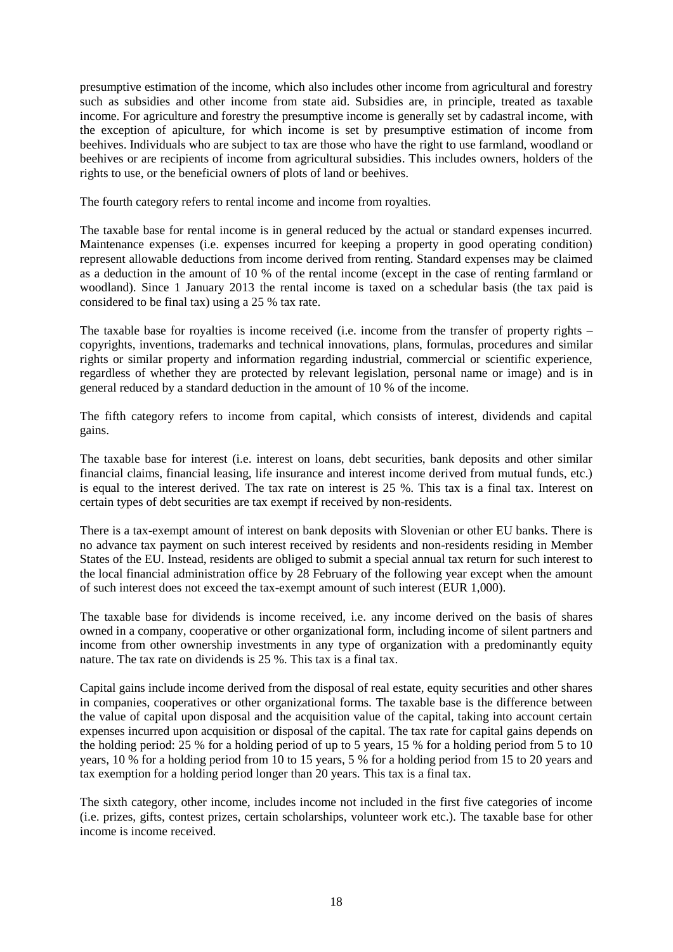presumptive estimation of the income, which also includes other income from agricultural and forestry such as subsidies and other income from state aid. Subsidies are, in principle, treated as taxable income. For agriculture and forestry the presumptive income is generally set by cadastral income, with the exception of apiculture, for which income is set by presumptive estimation of income from beehives. Individuals who are subject to tax are those who have the right to use farmland, woodland or beehives or are recipients of income from agricultural subsidies. This includes owners, holders of the rights to use, or the beneficial owners of plots of land or beehives.

The fourth category refers to rental income and income from royalties.

The taxable base for rental income is in general reduced by the actual or standard expenses incurred. Maintenance expenses (i.e. expenses incurred for keeping a property in good operating condition) represent allowable deductions from income derived from renting. Standard expenses may be claimed as a deduction in the amount of 10 % of the rental income (except in the case of renting farmland or woodland). Since 1 January 2013 the rental income is taxed on a schedular basis (the tax paid is considered to be final tax) using a 25 % tax rate.

The taxable base for royalties is income received (i.e. income from the transfer of property rights – copyrights, inventions, trademarks and technical innovations, plans, formulas, procedures and similar rights or similar property and information regarding industrial, commercial or scientific experience, regardless of whether they are protected by relevant legislation, personal name or image) and is in general reduced by a standard deduction in the amount of 10 % of the income.

The fifth category refers to income from capital, which consists of interest, dividends and capital gains.

The taxable base for interest (i.e. interest on loans, debt securities, bank deposits and other similar financial claims, financial leasing, life insurance and interest income derived from mutual funds, etc.) is equal to the interest derived. The tax rate on interest is 25 %. This tax is a final tax. Interest on certain types of debt securities are tax exempt if received by non-residents.

There is a tax-exempt amount of interest on bank deposits with Slovenian or other EU banks. There is no advance tax payment on such interest received by residents and non-residents residing in Member States of the EU. Instead, residents are obliged to submit a special annual tax return for such interest to the local financial administration office by 28 February of the following year except when the amount of such interest does not exceed the tax-exempt amount of such interest (EUR 1,000).

The taxable base for dividends is income received, i.e. any income derived on the basis of shares owned in a company, cooperative or other organizational form, including income of silent partners and income from other ownership investments in any type of organization with a predominantly equity nature. The tax rate on dividends is 25 %. This tax is a final tax.

Capital gains include income derived from the disposal of real estate, equity securities and other shares in companies, cooperatives or other organizational forms. The taxable base is the difference between the value of capital upon disposal and the acquisition value of the capital, taking into account certain expenses incurred upon acquisition or disposal of the capital. The tax rate for capital gains depends on the holding period: 25 % for a holding period of up to 5 years, 15 % for a holding period from 5 to 10 years, 10 % for a holding period from 10 to 15 years, 5 % for a holding period from 15 to 20 years and tax exemption for a holding period longer than 20 years. This tax is a final tax.

The sixth category, other income, includes income not included in the first five categories of income (i.e. prizes, gifts, contest prizes, certain scholarships, volunteer work etc.). The taxable base for other income is income received.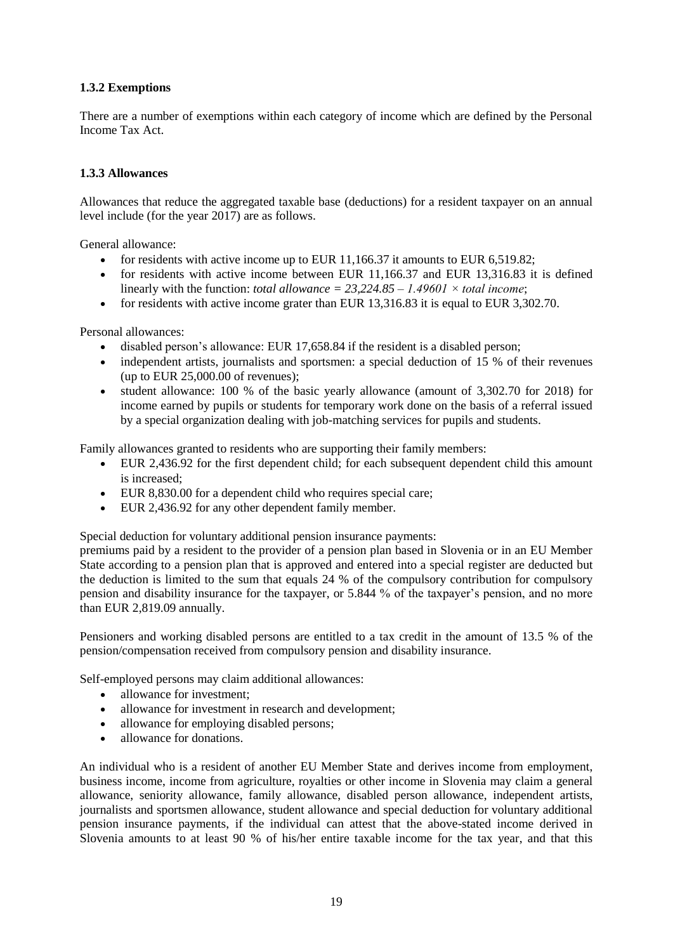## **1.3.2 Exemptions**

There are a number of exemptions within each category of income which are defined by the Personal Income Tax Act.

## **1.3.3 Allowances**

Allowances that reduce the aggregated taxable base (deductions) for a resident taxpayer on an annual level include (for the year 2017) are as follows.

General allowance:

- for residents with active income up to EUR 11,166.37 it amounts to EUR 6,519.82;
- for residents with active income between EUR  $11,166.37$  and EUR 13,316.83 it is defined linearly with the function: *total allowance = 23,224.85 – 1.49601 × total income*;
- for residents with active income grater than EUR  $13,316.83$  it is equal to EUR  $3,302.70$ .

Personal allowances:

- disabled person's allowance: EUR 17,658.84 if the resident is a disabled person;
- independent artists, journalists and sportsmen: a special deduction of 15 % of their revenues (up to EUR 25,000.00 of revenues);
- student allowance: 100 % of the basic yearly allowance (amount of 3,302.70 for 2018) for income earned by pupils or students for temporary work done on the basis of a referral issued by a special organization dealing with job-matching services for pupils and students.

Family allowances granted to residents who are supporting their family members:

- EUR 2,436.92 for the first dependent child; for each subsequent dependent child this amount is increased;
- EUR 8,830.00 for a dependent child who requires special care;
- EUR 2,436.92 for any other dependent family member.

Special deduction for voluntary additional pension insurance payments:

premiums paid by a resident to the provider of a pension plan based in Slovenia or in an EU Member State according to a pension plan that is approved and entered into a special register are deducted but the deduction is limited to the sum that equals 24 % of the compulsory contribution for compulsory pension and disability insurance for the taxpayer, or 5.844 % of the taxpayer's pension, and no more than EUR 2,819.09 annually.

Pensioners and working disabled persons are entitled to a tax credit in the amount of 13.5 % of the pension/compensation received from compulsory pension and disability insurance.

Self-employed persons may claim additional allowances:

- allowance for investment;
- allowance for investment in research and development;
- allowance for employing disabled persons;
- allowance for donations.

An individual who is a resident of another EU Member State and derives income from employment, business income, income from agriculture, royalties or other income in Slovenia may claim a general allowance, seniority allowance, family allowance, disabled person allowance, independent artists, journalists and sportsmen allowance, student allowance and special deduction for voluntary additional pension insurance payments, if the individual can attest that the above-stated income derived in Slovenia amounts to at least 90 % of his/her entire taxable income for the tax year, and that this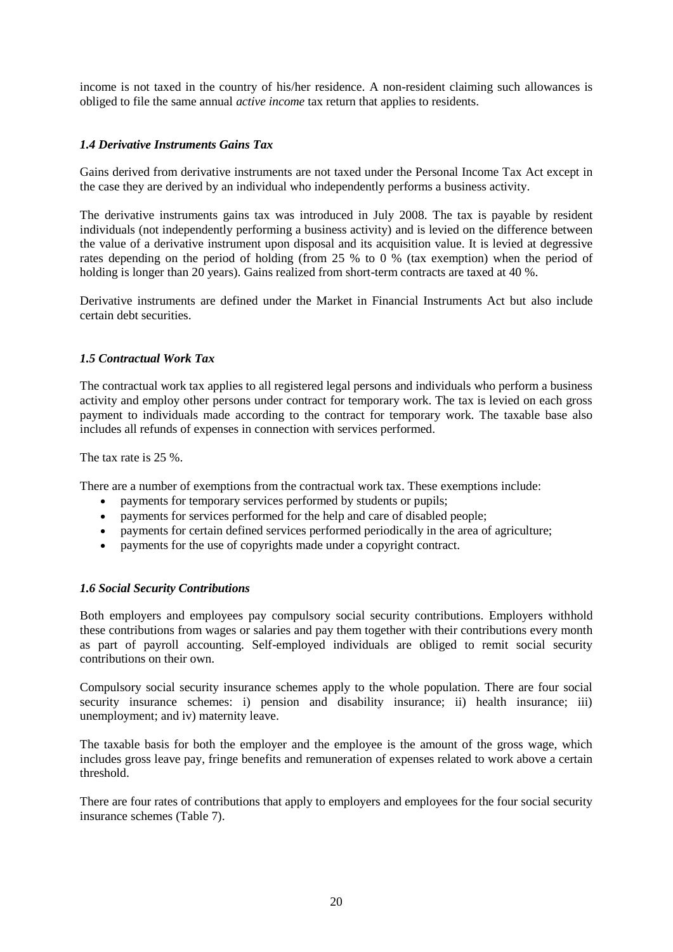income is not taxed in the country of his/her residence. A non-resident claiming such allowances is obliged to file the same annual *active income* tax return that applies to residents.

## *1.4 Derivative Instruments Gains Tax*

Gains derived from derivative instruments are not taxed under the Personal Income Tax Act except in the case they are derived by an individual who independently performs a business activity.

The derivative instruments gains tax was introduced in July 2008. The tax is payable by resident individuals (not independently performing a business activity) and is levied on the difference between the value of a derivative instrument upon disposal and its acquisition value. It is levied at degressive rates depending on the period of holding (from 25 % to 0 % (tax exemption) when the period of holding is longer than 20 years). Gains realized from short-term contracts are taxed at 40 %.

Derivative instruments are defined under the Market in Financial Instruments Act but also include certain debt securities.

## *1.5 Contractual Work Tax*

The contractual work tax applies to all registered legal persons and individuals who perform a business activity and employ other persons under contract for temporary work. The tax is levied on each gross payment to individuals made according to the contract for temporary work. The taxable base also includes all refunds of expenses in connection with services performed.

The tax rate is 25 %.

There are a number of exemptions from the contractual work tax. These exemptions include:

- payments for temporary services performed by students or pupils;
- payments for services performed for the help and care of disabled people;
- payments for certain defined services performed periodically in the area of agriculture;
- payments for the use of copyrights made under a copyright contract.

#### *1.6 Social Security Contributions*

Both employers and employees pay compulsory social security contributions. Employers withhold these contributions from wages or salaries and pay them together with their contributions every month as part of payroll accounting. Self-employed individuals are obliged to remit social security contributions on their own.

Compulsory social security insurance schemes apply to the whole population. There are four social security insurance schemes: i) pension and disability insurance; ii) health insurance; iii) unemployment; and iv) maternity leave.

The taxable basis for both the employer and the employee is the amount of the gross wage, which includes gross leave pay, fringe benefits and remuneration of expenses related to work above a certain threshold.

There are four rates of contributions that apply to employers and employees for the four social security insurance schemes (Table 7).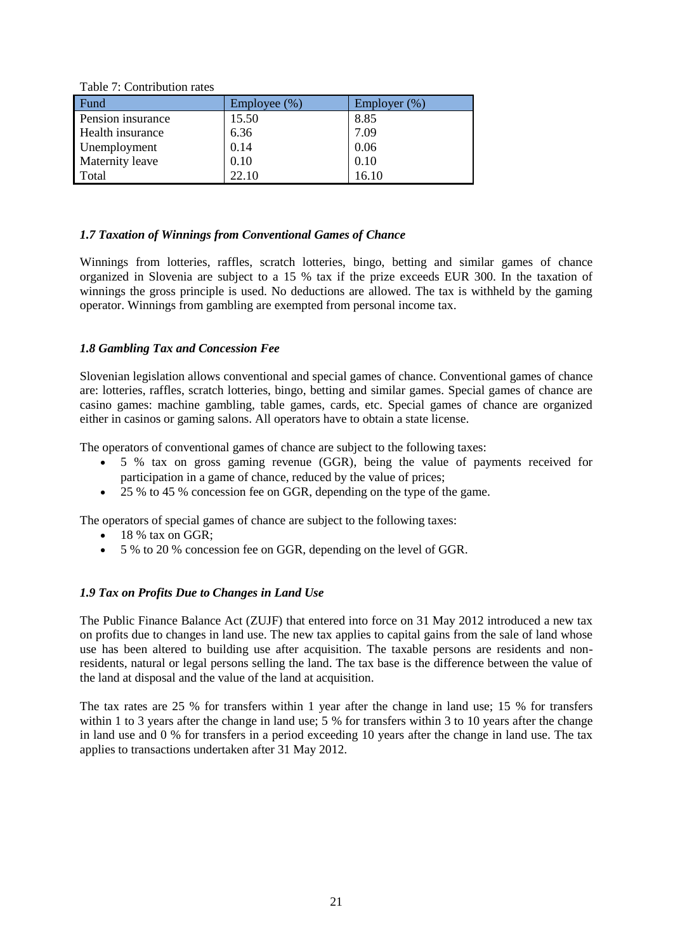Table 7: Contribution rates

| Fund                    | Employee (%) | Employer $(\%)$ |
|-------------------------|--------------|-----------------|
| Pension insurance       | 15.50        | 8.85            |
| <b>Health</b> insurance | 6.36         | 7.09            |
| Unemployment            | 0.14         | 0.06            |
| Maternity leave         | 0.10         | 0.10            |
| Total                   | 22.10        | 16.10           |

#### *1.7 Taxation of Winnings from Conventional Games of Chance*

Winnings from lotteries, raffles, scratch lotteries, bingo, betting and similar games of chance organized in Slovenia are subject to a 15 % tax if the prize exceeds EUR 300. In the taxation of winnings the gross principle is used. No deductions are allowed. The tax is withheld by the gaming operator. Winnings from gambling are exempted from personal income tax.

#### *1.8 Gambling Tax and Concession Fee*

Slovenian legislation allows conventional and special games of chance. Conventional games of chance are: lotteries, raffles, scratch lotteries, bingo, betting and similar games. Special games of chance are casino games: machine gambling, table games, cards, etc. Special games of chance are organized either in casinos or gaming salons. All operators have to obtain a state license.

The operators of conventional games of chance are subject to the following taxes:

- 5 % tax on gross gaming revenue (GGR), being the value of payments received for participation in a game of chance, reduced by the value of prices;
- $\bullet$  25 % to 45 % concession fee on GGR, depending on the type of the game.

The operators of special games of chance are subject to the following taxes:

- $\bullet$  18 % tax on GGR;
- 5 % to 20 % concession fee on GGR, depending on the level of GGR.

#### *1.9 Tax on Profits Due to Changes in Land Use*

The Public Finance Balance Act (ZUJF) that entered into force on 31 May 2012 introduced a new tax on profits due to changes in land use. The new tax applies to capital gains from the sale of land whose use has been altered to building use after acquisition. The taxable persons are residents and nonresidents, natural or legal persons selling the land. The tax base is the difference between the value of the land at disposal and the value of the land at acquisition.

The tax rates are 25 % for transfers within 1 year after the change in land use; 15 % for transfers within 1 to 3 years after the change in land use; 5 % for transfers within 3 to 10 years after the change in land use and 0 % for transfers in a period exceeding 10 years after the change in land use. The tax applies to transactions undertaken after 31 May 2012.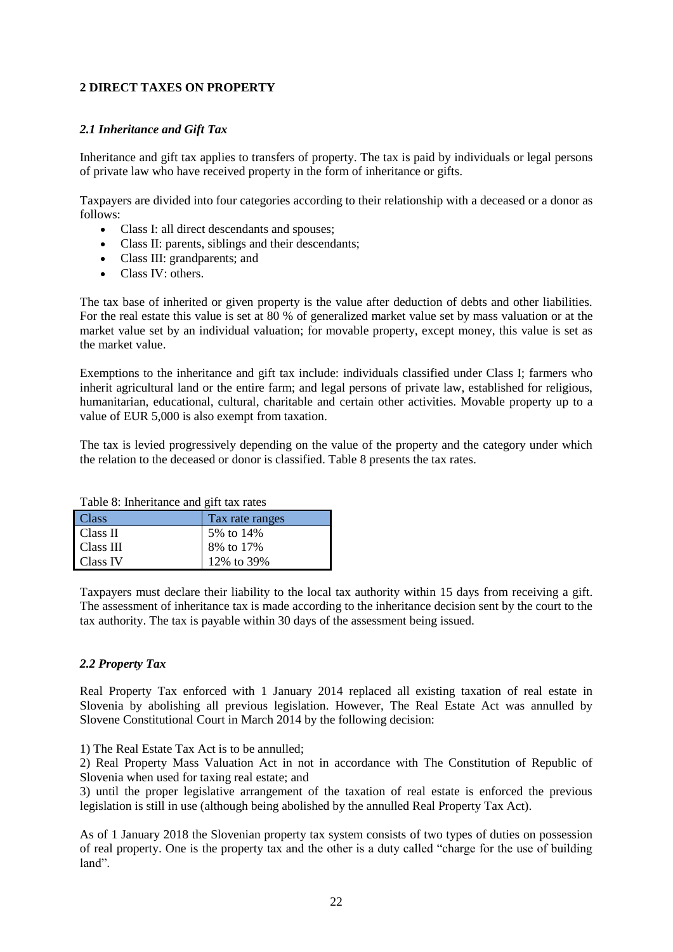## **2 DIRECT TAXES ON PROPERTY**

#### *2.1 Inheritance and Gift Tax*

Inheritance and gift tax applies to transfers of property. The tax is paid by individuals or legal persons of private law who have received property in the form of inheritance or gifts.

Taxpayers are divided into four categories according to their relationship with a deceased or a donor as follows:

- Class I: all direct descendants and spouses;
- Class II: parents, siblings and their descendants;
- Class III: grandparents; and
- Class IV: others.

The tax base of inherited or given property is the value after deduction of debts and other liabilities. For the real estate this value is set at 80 % of generalized market value set by mass valuation or at the market value set by an individual valuation; for movable property, except money, this value is set as the market value.

Exemptions to the inheritance and gift tax include: individuals classified under Class I; farmers who inherit agricultural land or the entire farm; and legal persons of private law, established for religious, humanitarian, educational, cultural, charitable and certain other activities. Movable property up to a value of EUR 5,000 is also exempt from taxation.

The tax is levied progressively depending on the value of the property and the category under which the relation to the deceased or donor is classified. Table 8 presents the tax rates.

Table 8: Inheritance and gift tax rates

| <b>Class</b> | Tax rate ranges |
|--------------|-----------------|
| Class II     | 5% to 14%       |
| Class III    | 8% to 17%       |
| Class IV     | 12% to 39%      |

Taxpayers must declare their liability to the local tax authority within 15 days from receiving a gift. The assessment of inheritance tax is made according to the inheritance decision sent by the court to the tax authority. The tax is payable within 30 days of the assessment being issued.

#### *2.2 Property Tax*

Real Property Tax enforced with 1 January 2014 replaced all existing taxation of real estate in Slovenia by abolishing all previous legislation. However, The Real Estate Act was annulled by Slovene Constitutional Court in March 2014 by the following decision:

1) The Real Estate Tax Act is to be annulled;

2) Real Property Mass Valuation Act in not in accordance with The Constitution of Republic of Slovenia when used for taxing real estate; and

3) until the proper legislative arrangement of the taxation of real estate is enforced the previous legislation is still in use (although being abolished by the annulled Real Property Tax Act).

As of 1 January 2018 the Slovenian property tax system consists of two types of duties on possession of real property. One is the property tax and the other is a duty called "charge for the use of building land".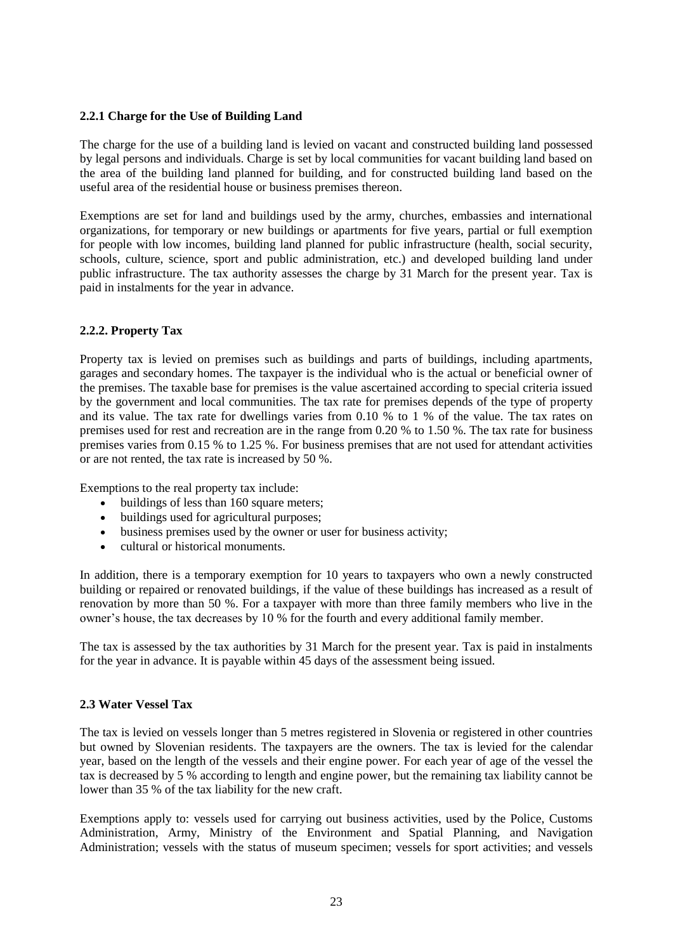#### **2.2.1 Charge for the Use of Building Land**

The charge for the use of a building land is levied on vacant and constructed building land possessed by legal persons and individuals. Charge is set by local communities for vacant building land based on the area of the building land planned for building, and for constructed building land based on the useful area of the residential house or business premises thereon.

Exemptions are set for land and buildings used by the army, churches, embassies and international organizations, for temporary or new buildings or apartments for five years, partial or full exemption for people with low incomes, building land planned for public infrastructure (health, social security, schools, culture, science, sport and public administration, etc.) and developed building land under public infrastructure. The tax authority assesses the charge by 31 March for the present year. Tax is paid in instalments for the year in advance.

## **2.2.2. Property Tax**

Property tax is levied on premises such as buildings and parts of buildings, including apartments, garages and secondary homes. The taxpayer is the individual who is the actual or beneficial owner of the premises. The taxable base for premises is the value ascertained according to special criteria issued by the government and local communities. The tax rate for premises depends of the type of property and its value. The tax rate for dwellings varies from 0.10 % to 1 % of the value. The tax rates on premises used for rest and recreation are in the range from 0.20 % to 1.50 %. The tax rate for business premises varies from 0.15 % to 1.25 %. For business premises that are not used for attendant activities or are not rented, the tax rate is increased by 50 %.

Exemptions to the real property tax include:

- $\bullet$  buildings of less than 160 square meters;
- buildings used for agricultural purposes;
- business premises used by the owner or user for business activity;
- cultural or historical monuments.

In addition, there is a temporary exemption for 10 years to taxpayers who own a newly constructed building or repaired or renovated buildings, if the value of these buildings has increased as a result of renovation by more than 50 %. For a taxpayer with more than three family members who live in the owner's house, the tax decreases by 10 % for the fourth and every additional family member.

The tax is assessed by the tax authorities by 31 March for the present year. Tax is paid in instalments for the year in advance. It is payable within 45 days of the assessment being issued.

#### **2.3 Water Vessel Tax**

The tax is levied on vessels longer than 5 metres registered in Slovenia or registered in other countries but owned by Slovenian residents. The taxpayers are the owners. The tax is levied for the calendar year, based on the length of the vessels and their engine power. For each year of age of the vessel the tax is decreased by 5 % according to length and engine power, but the remaining tax liability cannot be lower than 35 % of the tax liability for the new craft.

Exemptions apply to: vessels used for carrying out business activities, used by the Police, Customs Administration, Army, Ministry of the Environment and Spatial Planning, and Navigation Administration; vessels with the status of museum specimen; vessels for sport activities; and vessels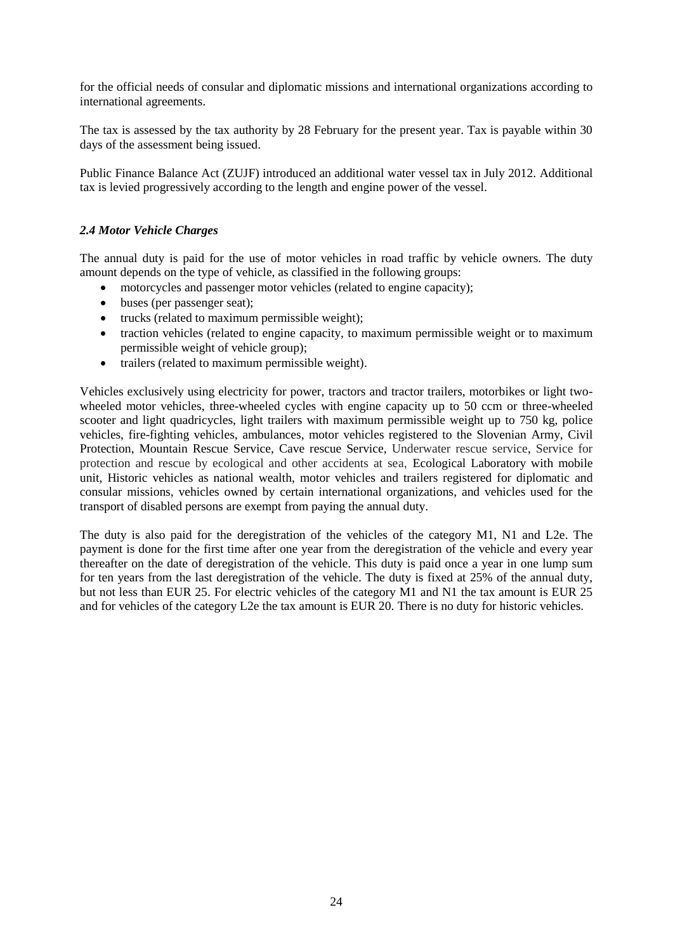for the official needs of consular and diplomatic missions and international organizations according to international agreements.

The tax is assessed by the tax authority by 28 February for the present year. Tax is payable within 30 days of the assessment being issued.

Public Finance Balance Act (ZUJF) introduced an additional water vessel tax in July 2012. Additional tax is levied progressively according to the length and engine power of the vessel.

#### *2.4 Motor Vehicle Charges*

The annual duty is paid for the use of motor vehicles in road traffic by vehicle owners. The duty amount depends on the type of vehicle, as classified in the following groups:

- motorcycles and passenger motor vehicles (related to engine capacity);
- buses (per passenger seat);
- trucks (related to maximum permissible weight);
- traction vehicles (related to engine capacity, to maximum permissible weight or to maximum permissible weight of vehicle group);
- trailers (related to maximum permissible weight).

Vehicles exclusively using electricity for power, tractors and tractor trailers, motorbikes or light twowheeled motor vehicles, three-wheeled cycles with engine capacity up to 50 ccm or three-wheeled scooter and light quadricycles, light trailers with maximum permissible weight up to 750 kg, police vehicles, fire-fighting vehicles, ambulances, motor vehicles registered to the Slovenian Army, Civil Protection, Mountain Rescue Service, Cave rescue Service, Underwater rescue service, Service for protection and rescue by ecological and other accidents at sea, Ecological Laboratory with mobile unit. Historic vehicles as national wealth, motor vehicles and trailers registered for diplomatic and consular missions, vehicles owned by certain international organizations, and vehicles used for the transport of disabled persons are exempt from paying the annual duty.

The duty is also paid for the deregistration of the vehicles of the category M1, N1 and L2e. The payment is done for the first time after one year from the deregistration of the vehicle and every year thereafter on the date of deregistration of the vehicle. This duty is paid once a year in one lump sum for ten years from the last deregistration of the vehicle. The duty is fixed at 25% of the annual duty, but not less than EUR 25. For electric vehicles of the category M1 and N1 the tax amount is EUR 25 and for vehicles of the category L2e the tax amount is EUR 20. There is no duty for historic vehicles.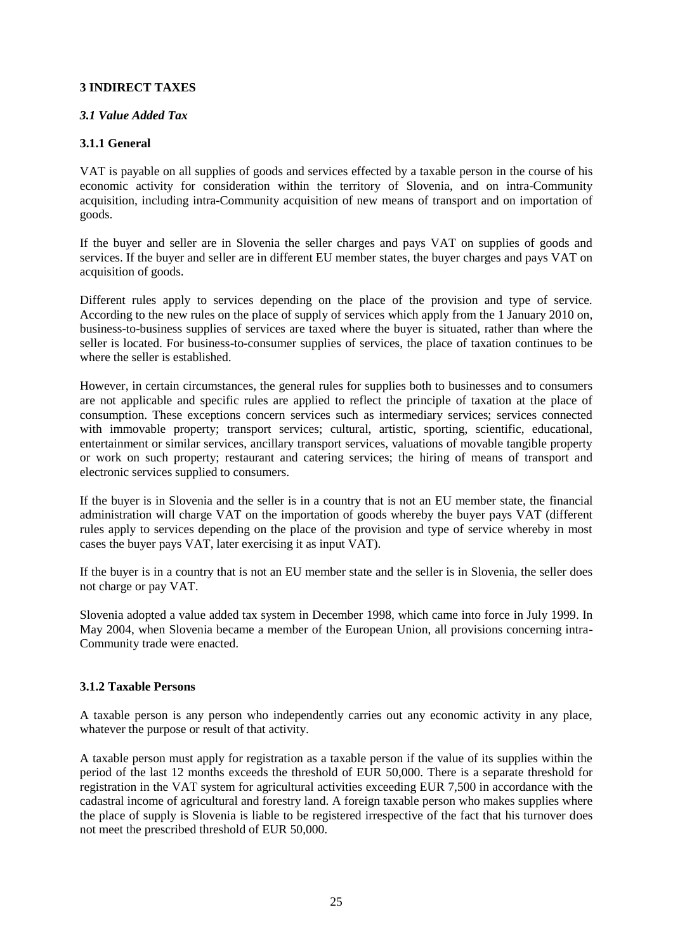## **3 INDIRECT TAXES**

## *3.1 Value Added Tax*

## **3.1.1 General**

VAT is payable on all supplies of goods and services effected by a taxable person in the course of his economic activity for consideration within the territory of Slovenia, and on intra-Community acquisition, including intra-Community acquisition of new means of transport and on importation of goods.

If the buyer and seller are in Slovenia the seller charges and pays VAT on supplies of goods and services. If the buyer and seller are in different EU member states, the buyer charges and pays VAT on acquisition of goods.

Different rules apply to services depending on the place of the provision and type of service. According to the new rules on the place of supply of services which apply from the 1 January 2010 on, business-to-business supplies of services are taxed where the buyer is situated, rather than where the seller is located. For business-to-consumer supplies of services, the place of taxation continues to be where the seller is established.

However, in certain circumstances, the general rules for supplies both to businesses and to consumers are not applicable and specific rules are applied to reflect the principle of taxation at the place of consumption. These exceptions concern services such as intermediary services; services connected with immovable property; transport services; cultural, artistic, sporting, scientific, educational, entertainment or similar services, ancillary transport services, valuations of movable tangible property or work on such property; restaurant and catering services; the hiring of means of transport and electronic services supplied to consumers.

If the buyer is in Slovenia and the seller is in a country that is not an EU member state, the financial administration will charge VAT on the importation of goods whereby the buyer pays VAT (different rules apply to services depending on the place of the provision and type of service whereby in most cases the buyer pays VAT, later exercising it as input VAT).

If the buyer is in a country that is not an EU member state and the seller is in Slovenia, the seller does not charge or pay VAT.

Slovenia adopted a value added tax system in December 1998, which came into force in July 1999. In May 2004, when Slovenia became a member of the European Union, all provisions concerning intra-Community trade were enacted.

## **3.1.2 Taxable Persons**

A taxable person is any person who independently carries out any economic activity in any place, whatever the purpose or result of that activity.

A taxable person must apply for registration as a taxable person if the value of its supplies within the period of the last 12 months exceeds the threshold of EUR 50,000. There is a separate threshold for registration in the VAT system for agricultural activities exceeding EUR 7,500 in accordance with the cadastral income of agricultural and forestry land. A foreign taxable person who makes supplies where the place of supply is Slovenia is liable to be registered irrespective of the fact that his turnover does not meet the prescribed threshold of EUR 50,000.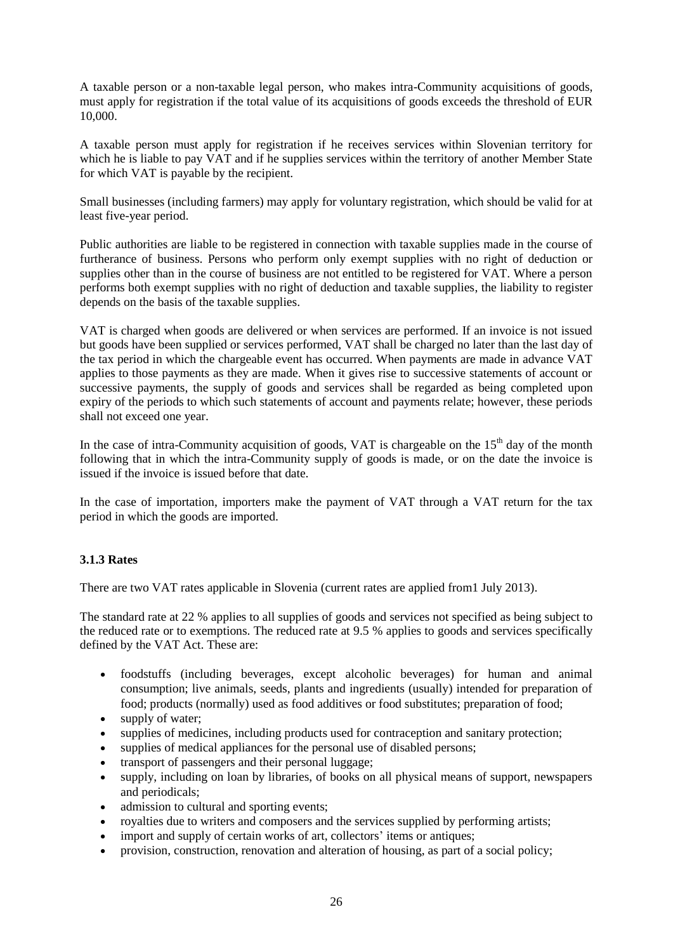A taxable person or a non-taxable legal person, who makes intra-Community acquisitions of goods, must apply for registration if the total value of its acquisitions of goods exceeds the threshold of EUR 10,000.

A taxable person must apply for registration if he receives services within Slovenian territory for which he is liable to pay VAT and if he supplies services within the territory of another Member State for which VAT is payable by the recipient.

Small businesses (including farmers) may apply for voluntary registration, which should be valid for at least five-year period.

Public authorities are liable to be registered in connection with taxable supplies made in the course of furtherance of business. Persons who perform only exempt supplies with no right of deduction or supplies other than in the course of business are not entitled to be registered for VAT. Where a person performs both exempt supplies with no right of deduction and taxable supplies, the liability to register depends on the basis of the taxable supplies.

VAT is charged when goods are delivered or when services are performed. If an invoice is not issued but goods have been supplied or services performed, VAT shall be charged no later than the last day of the tax period in which the chargeable event has occurred. When payments are made in advance VAT applies to those payments as they are made. When it gives rise to successive statements of account or successive payments, the supply of goods and services shall be regarded as being completed upon expiry of the periods to which such statements of account and payments relate; however, these periods shall not exceed one year.

In the case of intra-Community acquisition of goods, VAT is chargeable on the  $15<sup>th</sup>$  day of the month following that in which the intra-Community supply of goods is made, or on the date the invoice is issued if the invoice is issued before that date.

In the case of importation, importers make the payment of VAT through a VAT return for the tax period in which the goods are imported.

## **3.1.3 Rates**

There are two VAT rates applicable in Slovenia (current rates are applied from1 July 2013).

The standard rate at 22 % applies to all supplies of goods and services not specified as being subject to the reduced rate or to exemptions. The reduced rate at 9.5 % applies to goods and services specifically defined by the VAT Act. These are:

- foodstuffs (including beverages, except alcoholic beverages) for human and animal consumption; live animals, seeds, plants and ingredients (usually) intended for preparation of food; products (normally) used as food additives or food substitutes; preparation of food;
- supply of water;
- supplies of medicines, including products used for contraception and sanitary protection;
- supplies of medical appliances for the personal use of disabled persons;
- transport of passengers and their personal luggage;
- supply, including on loan by libraries, of books on all physical means of support, newspapers and periodicals;
- admission to cultural and sporting events;
- royalties due to writers and composers and the services supplied by performing artists;
- import and supply of certain works of art, collectors' items or antiques;
- provision, construction, renovation and alteration of housing, as part of a social policy;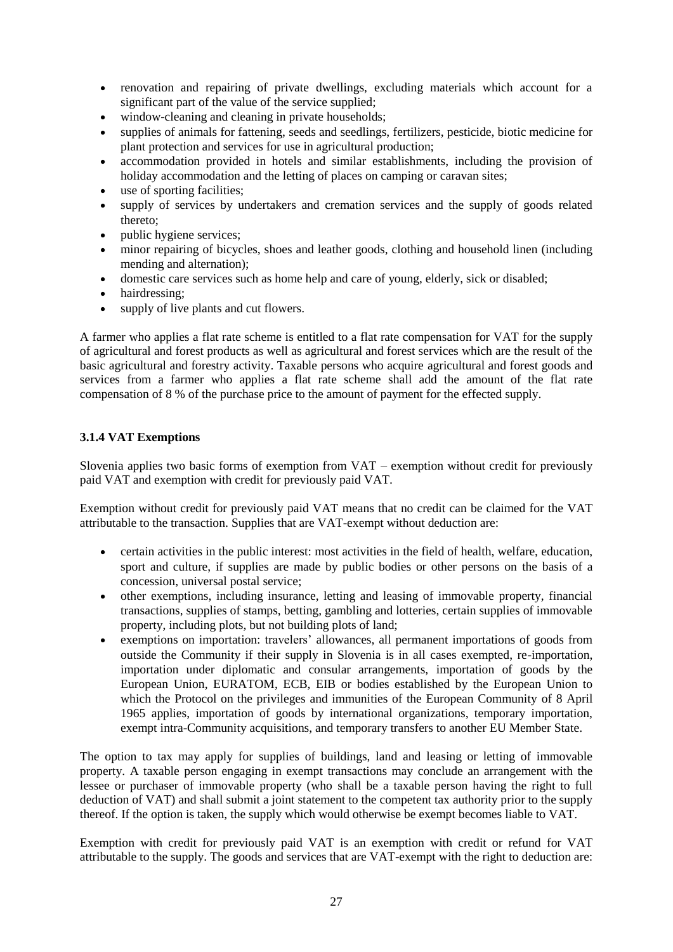- renovation and repairing of private dwellings, excluding materials which account for a significant part of the value of the service supplied;
- window-cleaning and cleaning in private households;
- supplies of animals for fattening, seeds and seedlings, fertilizers, pesticide, biotic medicine for plant protection and services for use in agricultural production;
- accommodation provided in hotels and similar establishments, including the provision of holiday accommodation and the letting of places on camping or caravan sites;
- use of sporting facilities;
- supply of services by undertakers and cremation services and the supply of goods related thereto;
- public hygiene services;
- minor repairing of bicycles, shoes and leather goods, clothing and household linen (including mending and alternation);
- domestic care services such as home help and care of young, elderly, sick or disabled;
- hairdressing;
- supply of live plants and cut flowers.

A farmer who applies a flat rate scheme is entitled to a flat rate compensation for VAT for the supply of agricultural and forest products as well as agricultural and forest services which are the result of the basic agricultural and forestry activity. Taxable persons who acquire agricultural and forest goods and services from a farmer who applies a flat rate scheme shall add the amount of the flat rate compensation of 8 % of the purchase price to the amount of payment for the effected supply.

## **3.1.4 VAT Exemptions**

Slovenia applies two basic forms of exemption from VAT – exemption without credit for previously paid VAT and exemption with credit for previously paid VAT.

Exemption without credit for previously paid VAT means that no credit can be claimed for the VAT attributable to the transaction. Supplies that are VAT-exempt without deduction are:

- certain activities in the public interest: most activities in the field of health, welfare, education, sport and culture, if supplies are made by public bodies or other persons on the basis of a concession, universal postal service;
- other exemptions, including insurance, letting and leasing of immovable property, financial transactions, supplies of stamps, betting, gambling and lotteries, certain supplies of immovable property, including plots, but not building plots of land;
- exemptions on importation: travelers' allowances, all permanent importations of goods from outside the Community if their supply in Slovenia is in all cases exempted, re-importation, importation under diplomatic and consular arrangements, importation of goods by the European Union, EURATOM, ECB, EIB or bodies established by the European Union to which the Protocol on the privileges and immunities of the European Community of 8 April 1965 applies, importation of goods by international organizations, temporary importation, exempt intra-Community acquisitions, and temporary transfers to another EU Member State.

The option to tax may apply for supplies of buildings, land and leasing or letting of immovable property. A taxable person engaging in exempt transactions may conclude an arrangement with the lessee or purchaser of immovable property (who shall be a taxable person having the right to full deduction of VAT) and shall submit a joint statement to the competent tax authority prior to the supply thereof. If the option is taken, the supply which would otherwise be exempt becomes liable to VAT.

Exemption with credit for previously paid VAT is an exemption with credit or refund for VAT attributable to the supply. The goods and services that are VAT-exempt with the right to deduction are: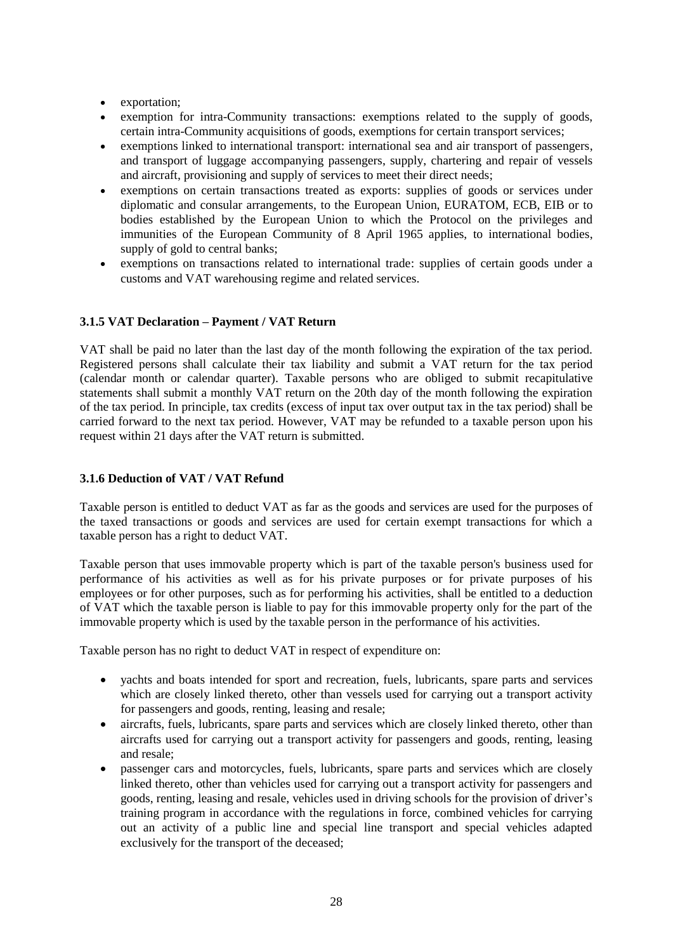- exportation;
- exemption for intra-Community transactions: exemptions related to the supply of goods, certain intra-Community acquisitions of goods, exemptions for certain transport services;
- exemptions linked to international transport: international sea and air transport of passengers, and transport of luggage accompanying passengers, supply, chartering and repair of vessels and aircraft, provisioning and supply of services to meet their direct needs;
- exemptions on certain transactions treated as exports: supplies of goods or services under diplomatic and consular arrangements, to the European Union, EURATOM, ECB, EIB or to bodies established by the European Union to which the Protocol on the privileges and immunities of the European Community of 8 April 1965 applies, to international bodies, supply of gold to central banks;
- exemptions on transactions related to international trade: supplies of certain goods under a customs and VAT warehousing regime and related services.

## **3.1.5 VAT Declaration – Payment / VAT Return**

VAT shall be paid no later than the last day of the month following the expiration of the tax period. Registered persons shall calculate their tax liability and submit a VAT return for the tax period (calendar month or calendar quarter). Taxable persons who are obliged to submit recapitulative statements shall submit a monthly VAT return on the 20th day of the month following the expiration of the tax period. In principle, tax credits (excess of input tax over output tax in the tax period) shall be carried forward to the next tax period. However, VAT may be refunded to a taxable person upon his request within 21 days after the VAT return is submitted.

#### **3.1.6 Deduction of VAT / VAT Refund**

Taxable person is entitled to deduct VAT as far as the goods and services are used for the purposes of the taxed transactions or goods and services are used for certain exempt transactions for which a taxable person has a right to deduct VAT.

Taxable person that uses immovable property which is part of the taxable person's business used for performance of his activities as well as for his private purposes or for private purposes of his employees or for other purposes, such as for performing his activities, shall be entitled to a deduction of VAT which the taxable person is liable to pay for this immovable property only for the part of the immovable property which is used by the taxable person in the performance of his activities.

Taxable person has no right to deduct VAT in respect of expenditure on:

- yachts and boats intended for sport and recreation, fuels, lubricants, spare parts and services which are closely linked thereto, other than vessels used for carrying out a transport activity for passengers and goods, renting, leasing and resale;
- aircrafts, fuels, lubricants, spare parts and services which are closely linked thereto, other than aircrafts used for carrying out a transport activity for passengers and goods, renting, leasing and resale;
- passenger cars and motorcycles, fuels, lubricants, spare parts and services which are closely linked thereto, other than vehicles used for carrying out a transport activity for passengers and goods, renting, leasing and resale, vehicles used in driving schools for the provision of driver's training program in accordance with the regulations in force, combined vehicles for carrying out an activity of a public line and special line transport and special vehicles adapted exclusively for the transport of the deceased;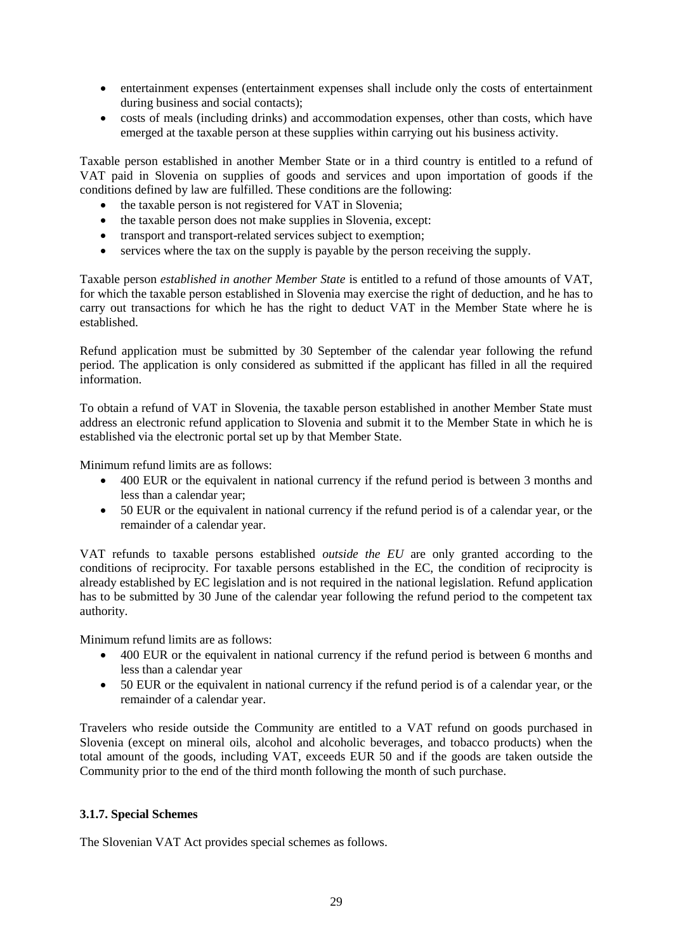- entertainment expenses (entertainment expenses shall include only the costs of entertainment during business and social contacts);
- costs of meals (including drinks) and accommodation expenses, other than costs, which have emerged at the taxable person at these supplies within carrying out his business activity.

Taxable person established in another Member State or in a third country is entitled to a refund of VAT paid in Slovenia on supplies of goods and services and upon importation of goods if the conditions defined by law are fulfilled. These conditions are the following:

- the taxable person is not registered for VAT in Slovenia;
- the taxable person does not make supplies in Slovenia, except:
- transport and transport-related services subject to exemption;
- services where the tax on the supply is payable by the person receiving the supply.

Taxable person *established in another Member State* is entitled to a refund of those amounts of VAT, for which the taxable person established in Slovenia may exercise the right of deduction, and he has to carry out transactions for which he has the right to deduct VAT in the Member State where he is established.

Refund application must be submitted by 30 September of the calendar year following the refund period. The application is only considered as submitted if the applicant has filled in all the required information.

To obtain a refund of VAT in Slovenia, the taxable person established in another Member State must address an electronic refund application to Slovenia and submit it to the Member State in which he is established via the electronic portal set up by that Member State.

Minimum refund limits are as follows:

- 400 EUR or the equivalent in national currency if the refund period is between 3 months and less than a calendar year;
- 50 EUR or the equivalent in national currency if the refund period is of a calendar year, or the remainder of a calendar year.

VAT refunds to taxable persons established *outside the EU* are only granted according to the conditions of reciprocity. For taxable persons established in the EC, the condition of reciprocity is already established by EC legislation and is not required in the national legislation. Refund application has to be submitted by 30 June of the calendar year following the refund period to the competent tax authority.

Minimum refund limits are as follows:

- 400 EUR or the equivalent in national currency if the refund period is between 6 months and less than a calendar year
- 50 EUR or the equivalent in national currency if the refund period is of a calendar year, or the remainder of a calendar year.

Travelers who reside outside the Community are entitled to a VAT refund on goods purchased in Slovenia (except on mineral oils, alcohol and alcoholic beverages, and tobacco products) when the total amount of the goods, including VAT, exceeds EUR 50 and if the goods are taken outside the Community prior to the end of the third month following the month of such purchase.

#### **3.1.7. Special Schemes**

The Slovenian VAT Act provides special schemes as follows.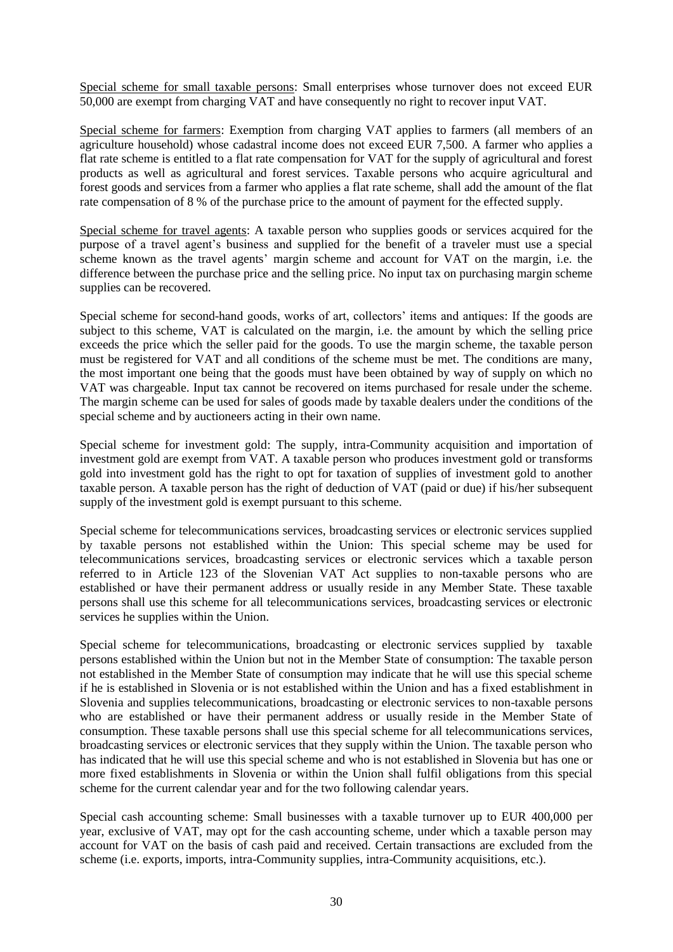Special scheme for small taxable persons: Small enterprises whose turnover does not exceed EUR 50,000 are exempt from charging VAT and have consequently no right to recover input VAT.

Special scheme for farmers: Exemption from charging VAT applies to farmers (all members of an agriculture household) whose cadastral income does not exceed EUR 7,500. A farmer who applies a flat rate scheme is entitled to a flat rate compensation for VAT for the supply of agricultural and forest products as well as agricultural and forest services. Taxable persons who acquire agricultural and forest goods and services from a farmer who applies a flat rate scheme, shall add the amount of the flat rate compensation of 8 % of the purchase price to the amount of payment for the effected supply.

Special scheme for travel agents: A taxable person who supplies goods or services acquired for the purpose of a travel agent's business and supplied for the benefit of a traveler must use a special scheme known as the travel agents' margin scheme and account for VAT on the margin, i.e. the difference between the purchase price and the selling price. No input tax on purchasing margin scheme supplies can be recovered.

Special scheme for second-hand goods, works of art, collectors' items and antiques: If the goods are subject to this scheme, VAT is calculated on the margin, i.e. the amount by which the selling price exceeds the price which the seller paid for the goods. To use the margin scheme, the taxable person must be registered for VAT and all conditions of the scheme must be met. The conditions are many, the most important one being that the goods must have been obtained by way of supply on which no VAT was chargeable. Input tax cannot be recovered on items purchased for resale under the scheme. The margin scheme can be used for sales of goods made by taxable dealers under the conditions of the special scheme and by auctioneers acting in their own name.

Special scheme for investment gold: The supply, intra-Community acquisition and importation of investment gold are exempt from VAT. A taxable person who produces investment gold or transforms gold into investment gold has the right to opt for taxation of supplies of investment gold to another taxable person. A taxable person has the right of deduction of VAT (paid or due) if his/her subsequent supply of the investment gold is exempt pursuant to this scheme.

Special scheme for telecommunications services, broadcasting services or electronic services supplied by taxable persons not established within the Union: This special scheme may be used for telecommunications services, broadcasting services or electronic services which a taxable person referred to in Article 123 of the Slovenian VAT Act supplies to non-taxable persons who are established or have their permanent address or usually reside in any Member State. These taxable persons shall use this scheme for all telecommunications services, broadcasting services or electronic services he supplies within the Union.

Special scheme for telecommunications, broadcasting or electronic services supplied by taxable persons established within the Union but not in the Member State of consumption: The taxable person not established in the Member State of consumption may indicate that he will use this special scheme if he is established in Slovenia or is not established within the Union and has a fixed establishment in Slovenia and supplies telecommunications, broadcasting or electronic services to non-taxable persons who are established or have their permanent address or usually reside in the Member State of consumption. These taxable persons shall use this special scheme for all telecommunications services, broadcasting services or electronic services that they supply within the Union. The taxable person who has indicated that he will use this special scheme and who is not established in Slovenia but has one or more fixed establishments in Slovenia or within the Union shall fulfil obligations from this special scheme for the current calendar year and for the two following calendar years.

Special cash accounting scheme: Small businesses with a taxable turnover up to EUR 400,000 per year, exclusive of VAT, may opt for the cash accounting scheme, under which a taxable person may account for VAT on the basis of cash paid and received. Certain transactions are excluded from the scheme (i.e. exports, imports, intra-Community supplies, intra-Community acquisitions, etc.).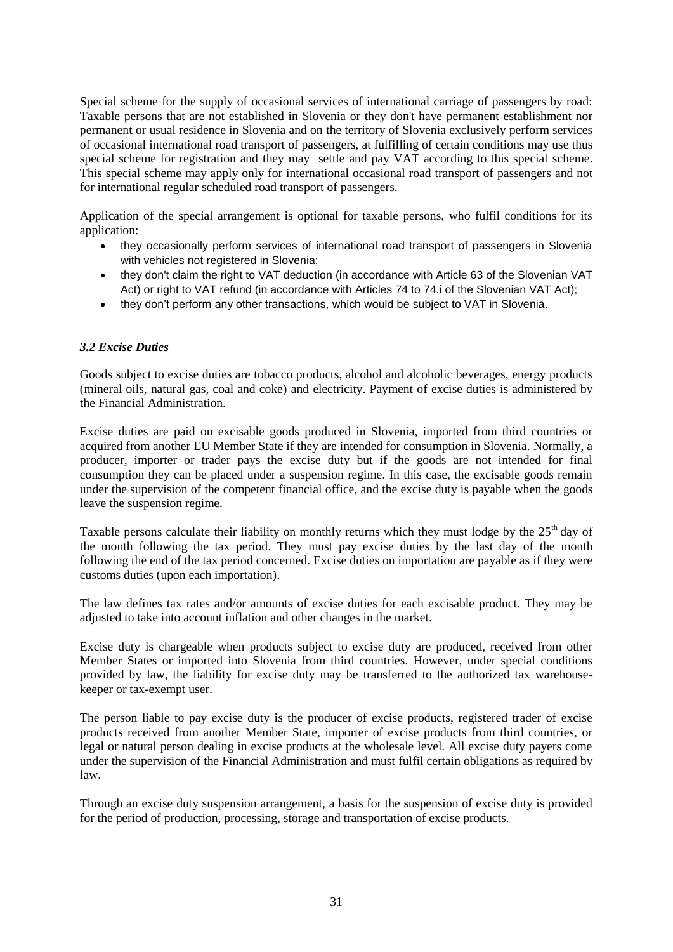Special scheme for the supply of occasional services of international carriage of passengers by road: Taxable persons that are not established in Slovenia or they don't have permanent establishment nor permanent or usual residence in Slovenia and on the territory of Slovenia exclusively perform services of occasional international road transport of passengers, at fulfilling of certain conditions may use thus special scheme for registration and they may settle and pay VAT according to this special scheme. This special scheme may apply only for international occasional road transport of passengers and not for international regular scheduled road transport of passengers.

Application of the special arrangement is optional for taxable persons, who fulfil conditions for its application:

- they occasionally perform services of international road transport of passengers in Slovenia with vehicles not registered in Slovenia;
- they don't claim the right to VAT deduction (in accordance with Article 63 of the Slovenian VAT Act) or right to VAT refund (in accordance with Articles 74 to 74.i of the Slovenian VAT Act);
- they don't perform any other transactions, which would be subject to VAT in Slovenia.

## *3.2 Excise Duties*

Goods subject to excise duties are tobacco products, alcohol and alcoholic beverages, energy products (mineral oils, natural gas, coal and coke) and electricity. Payment of excise duties is administered by the Financial Administration.

Excise duties are paid on excisable goods produced in Slovenia, imported from third countries or acquired from another EU Member State if they are intended for consumption in Slovenia. Normally, a producer, importer or trader pays the excise duty but if the goods are not intended for final consumption they can be placed under a suspension regime. In this case, the excisable goods remain under the supervision of the competent financial office, and the excise duty is payable when the goods leave the suspension regime.

Taxable persons calculate their liability on monthly returns which they must lodge by the  $25<sup>th</sup>$  day of the month following the tax period. They must pay excise duties by the last day of the month following the end of the tax period concerned. Excise duties on importation are payable as if they were customs duties (upon each importation).

The law defines tax rates and/or amounts of excise duties for each excisable product. They may be adjusted to take into account inflation and other changes in the market.

Excise duty is chargeable when products subject to excise duty are produced, received from other Member States or imported into Slovenia from third countries. However, under special conditions provided by law, the liability for excise duty may be transferred to the authorized tax warehousekeeper or tax-exempt user.

The person liable to pay excise duty is the producer of excise products, registered trader of excise products received from another Member State, importer of excise products from third countries, or legal or natural person dealing in excise products at the wholesale level. All excise duty payers come under the supervision of the Financial Administration and must fulfil certain obligations as required by law.

Through an excise duty suspension arrangement, a basis for the suspension of excise duty is provided for the period of production, processing, storage and transportation of excise products.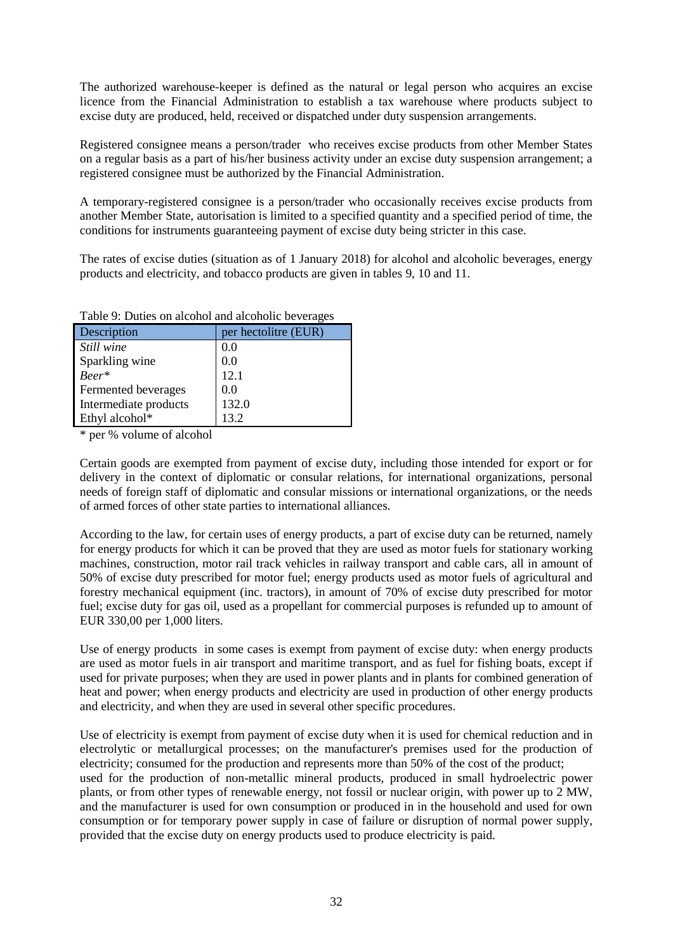The authorized warehouse-keeper is defined as the natural or legal person who acquires an excise licence from the Financial Administration to establish a tax warehouse where products subject to excise duty are produced, held, received or dispatched under duty suspension arrangements.

Registered consignee means a person/trader who receives excise products from other Member States on a regular basis as a part of his/her business activity under an excise duty suspension arrangement; a registered consignee must be authorized by the Financial Administration.

A temporary-registered consignee is a person/trader who occasionally receives excise products from another Member State, autorisation is limited to a specified quantity and a specified period of time, the conditions for instruments guaranteeing payment of excise duty being stricter in this case.

The rates of excise duties (situation as of 1 January 2018) for alcohol and alcoholic beverages, energy products and electricity, and tobacco products are given in tables 9, 10 and 11.

| Description           | per hectolitre (EUR) |
|-----------------------|----------------------|
| Still wine            | 0.0                  |
| Sparkling wine        | 0.0                  |
| $Beer*$               | 12.1                 |
| Fermented beverages   | 0.0                  |
| Intermediate products | 132.0                |
| Ethyl alcohol*        | 13 2                 |

| Table 9: Duties on alcohol and alcoholic beverages |  |
|----------------------------------------------------|--|
|----------------------------------------------------|--|

\* per % volume of alcohol

Certain goods are exempted from payment of excise duty, including those intended for export or for delivery in the context of diplomatic or consular relations, for international organizations, personal needs of foreign staff of diplomatic and consular missions or international organizations, or the needs of armed forces of other state parties to international alliances.

According to the law, for certain uses of energy products, a part of excise duty can be returned, namely for energy products for which it can be proved that they are used as motor fuels for stationary working machines, construction, motor rail track vehicles in railway transport and cable cars, all in amount of 50% of excise duty prescribed for motor fuel; energy products used as motor fuels of agricultural and forestry mechanical equipment (inc. tractors), in amount of 70% of excise duty prescribed for motor fuel; excise duty for gas oil, used as a propellant for commercial purposes is refunded up to amount of EUR 330,00 per 1,000 liters.

Use of energy products in some cases is exempt from payment of excise duty: when energy products are used as motor fuels in air transport and maritime transport, and as fuel for fishing boats, except if used for private purposes; when they are used in power plants and in plants for combined generation of heat and power; when energy products and electricity are used in production of other energy products and electricity, and when they are used in several other specific procedures.

Use of electricity is exempt from payment of excise duty when it is used for chemical reduction and in electrolytic or metallurgical processes; on the manufacturer's premises used for the production of electricity; consumed for the production and represents more than 50% of the cost of the product; used for the production of non-metallic mineral products, produced in small hydroelectric power plants, or from other types of renewable energy, not fossil or nuclear origin, with power up to 2 MW, and the manufacturer is used for own consumption or produced in in the household and used for own consumption or for temporary power supply in case of failure or disruption of normal power supply, provided that the excise duty on energy products used to produce electricity is paid.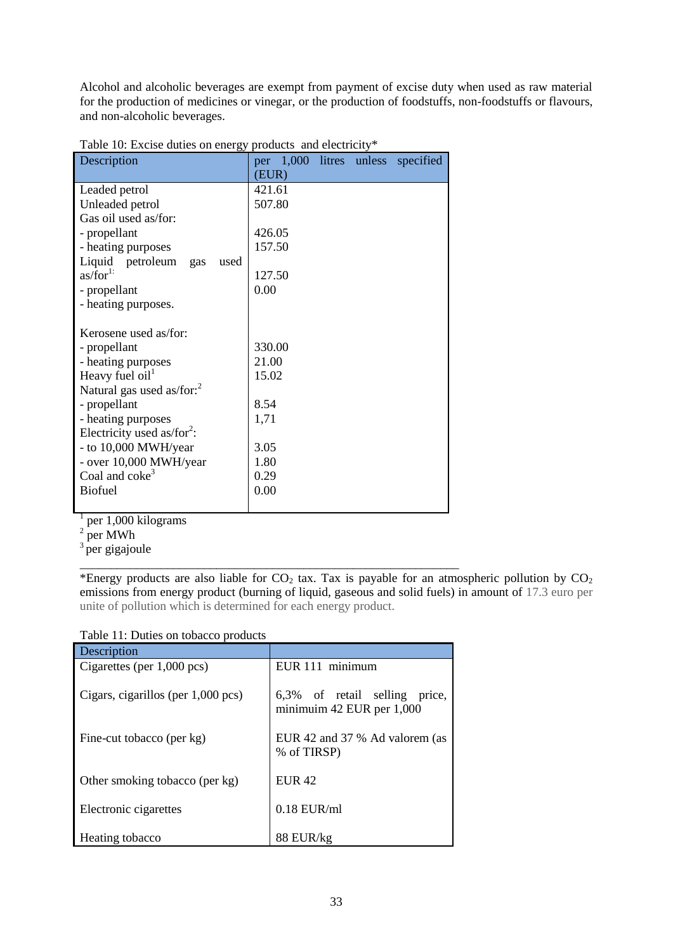Alcohol and alcoholic beverages are exempt from payment of excise duty when used as raw material for the production of medicines or vinegar, or the production of foodstuffs, non-foodstuffs or flavours, and non-alcoholic beverages.

| $10.000$ To. Exclude datics on energy<br>Description | per 1,000 litres unless specified |
|------------------------------------------------------|-----------------------------------|
|                                                      | (EUR)                             |
| Leaded petrol                                        | 421.61                            |
| Unleaded petrol                                      | 507.80                            |
| Gas oil used as/for:                                 |                                   |
| - propellant                                         | 426.05                            |
| - heating purposes                                   | 157.50                            |
| Liquid petroleum<br>used<br>gas                      |                                   |
| as/for <sup>1</sup>                                  | 127.50                            |
| - propellant                                         | 0.00                              |
| - heating purposes.                                  |                                   |
|                                                      |                                   |
| Kerosene used as/for:                                |                                   |
| - propellant                                         | 330.00                            |
| - heating purposes                                   | 21.00                             |
| Heavy fuel $oil1$                                    | 15.02                             |
| Natural gas used as/for: <sup>2</sup>                |                                   |
| - propellant                                         | 8.54                              |
| - heating purposes                                   | 1,71                              |
| Electricity used as/for <sup>2</sup> :               |                                   |
| - to 10,000 MWH/year                                 | 3.05                              |
| - over 10,000 MWH/year                               | 1.80                              |
| Coal and coke <sup>3</sup>                           | 0.29                              |
| <b>Biofuel</b>                                       | 0.00                              |
|                                                      |                                   |

|  |  |  | Table 10: Excise duties on energy products and electricity* |
|--|--|--|-------------------------------------------------------------|
|  |  |  |                                                             |

<sup>1</sup> per 1,000 kilograms

per MWh

<sup>3</sup> per gigajoule

\*Energy products are also liable for  $CO<sub>2</sub>$  tax. Tax is payable for an atmospheric pollution by  $CO<sub>2</sub>$ emissions from energy product (burning of liquid, gaseous and solid fuels) in amount of 17.3 euro per unite of pollution which is determined for each energy product.

Table 11: Duties on tobacco products

| Description                          |                                                               |
|--------------------------------------|---------------------------------------------------------------|
| Cigarettes (per $1,000$ pcs)         | EUR 111 minimum                                               |
| Cigars, cigarillos (per $1,000$ pcs) | 6,3% of retail selling<br>price.<br>minimuim 42 EUR per 1,000 |
| Fine-cut tobacco (per kg)            | EUR 42 and 37 % Ad valorem (as<br>% of TIRSP)                 |
| Other smoking tobacco (per kg)       | E I IR 42                                                     |
| Electronic cigarettes                | $0.18$ EUR/ml                                                 |
| Heating tobacco                      | 88 EUR/kg                                                     |

\_\_\_\_\_\_\_\_\_\_\_\_\_\_\_\_\_\_\_\_\_\_\_\_\_\_\_\_\_\_\_\_\_\_\_\_\_\_\_\_\_\_\_\_\_\_\_\_\_\_\_\_\_\_\_\_\_\_\_\_\_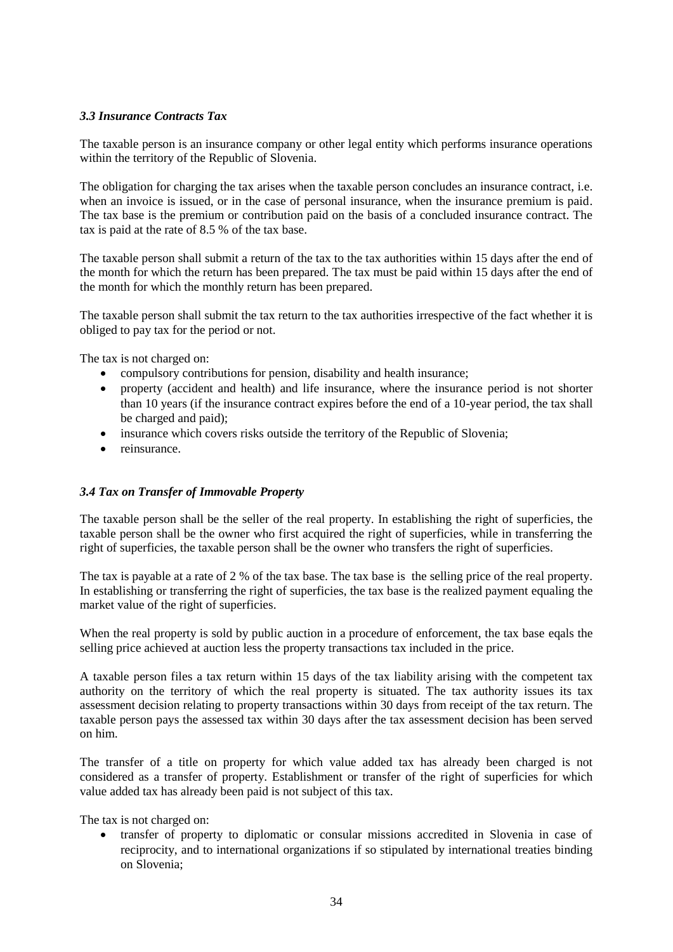## *3.3 Insurance Contracts Tax*

The taxable person is an insurance company or other legal entity which performs insurance operations within the territory of the Republic of Slovenia.

The obligation for charging the tax arises when the taxable person concludes an insurance contract, i.e. when an invoice is issued, or in the case of personal insurance, when the insurance premium is paid. The tax base is the premium or contribution paid on the basis of a concluded insurance contract. The tax is paid at the rate of 8.5 % of the tax base.

The taxable person shall submit a return of the tax to the tax authorities within 15 days after the end of the month for which the return has been prepared. The tax must be paid within 15 days after the end of the month for which the monthly return has been prepared.

The taxable person shall submit the tax return to the tax authorities irrespective of the fact whether it is obliged to pay tax for the period or not.

The tax is not charged on:

- compulsory contributions for pension, disability and health insurance;
- property (accident and health) and life insurance, where the insurance period is not shorter than 10 years (if the insurance contract expires before the end of a 10-year period, the tax shall be charged and paid);
- insurance which covers risks outside the territory of the Republic of Slovenia;
- reinsurance

## *3.4 Tax on Transfer of Immovable Property*

The taxable person shall be the seller of the real property. In establishing the right of superficies, the taxable person shall be the owner who first acquired the right of superficies, while in transferring the right of superficies, the taxable person shall be the owner who transfers the right of superficies.

The tax is payable at a rate of 2 % of the tax base. The tax base is the selling price of the real property. In establishing or transferring the right of superficies, the tax base is the realized payment equaling the market value of the right of superficies.

When the real property is sold by public auction in a procedure of enforcement, the tax base eqals the selling price achieved at auction less the property transactions tax included in the price.

A taxable person files a tax return within 15 days of the tax liability arising with the competent tax authority on the territory of which the real property is situated. The tax authority issues its tax assessment decision relating to property transactions within 30 days from receipt of the tax return. The taxable person pays the assessed tax within 30 days after the tax assessment decision has been served on him.

The transfer of a title on property for which value added tax has already been charged is not considered as a transfer of property. Establishment or transfer of the right of superficies for which value added tax has already been paid is not subject of this tax.

The tax is not charged on:

 transfer of property to diplomatic or consular missions accredited in Slovenia in case of reciprocity, and to international organizations if so stipulated by international treaties binding on Slovenia;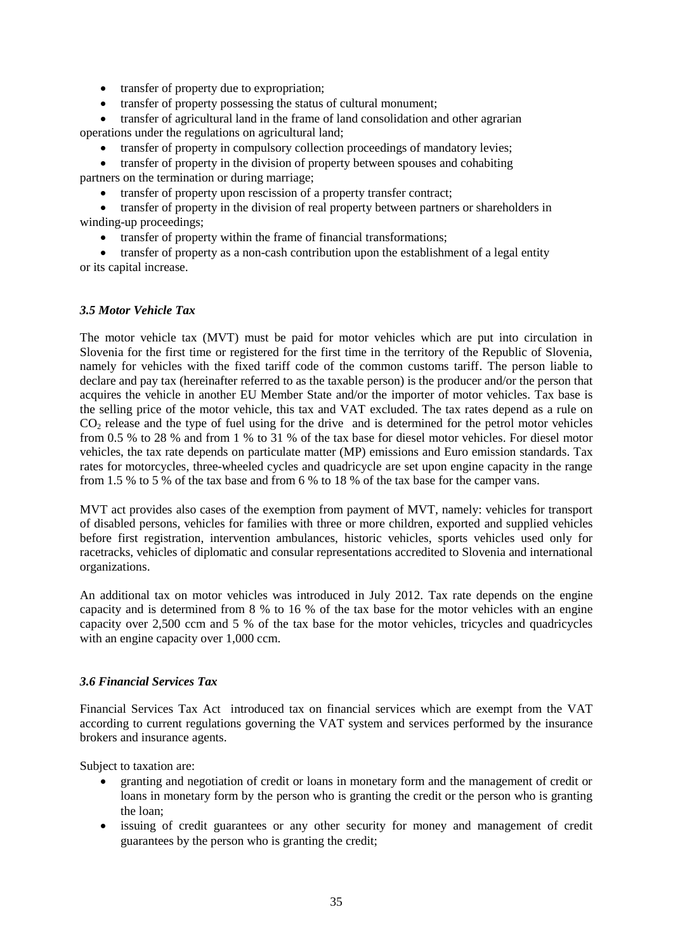- transfer of property due to expropriation;
- transfer of property possessing the status of cultural monument;

 transfer of agricultural land in the frame of land consolidation and other agrarian operations under the regulations on agricultural land;

• transfer of property in compulsory collection proceedings of mandatory levies:

• transfer of property in the division of property between spouses and cohabiting partners on the termination or during marriage;

• transfer of property upon rescission of a property transfer contract;

 transfer of property in the division of real property between partners or shareholders in winding-up proceedings;

• transfer of property within the frame of financial transformations;

 transfer of property as a non-cash contribution upon the establishment of a legal entity or its capital increase.

## *3.5 Motor Vehicle Tax*

The motor vehicle tax (MVT) must be paid for motor vehicles which are put into circulation in Slovenia for the first time or registered for the first time in the territory of the Republic of Slovenia, namely for vehicles with the fixed tariff code of the common customs tariff. The person liable to declare and pay tax (hereinafter referred to as the taxable person) is the producer and/or the person that acquires the vehicle in another EU Member State and/or the importer of motor vehicles. Tax base is the selling price of the motor vehicle, this tax and VAT excluded. The tax rates depend as a rule on CO<sub>2</sub> release and the type of fuel using for the drive and is determined for the petrol motor vehicles from 0.5 % to 28 % and from 1 % to 31 % of the tax base for diesel motor vehicles. For diesel motor vehicles, the tax rate depends on particulate matter (MP) emissions and Euro emission standards. Tax rates for motorcycles, three-wheeled cycles and quadricycle are set upon engine capacity in the range from 1.5 % to 5 % of the tax base and from 6 % to 18 % of the tax base for the camper vans.

MVT act provides also cases of the exemption from payment of MVT, namely: vehicles for transport of disabled persons, vehicles for families with three or more children, exported and supplied vehicles before first registration, intervention ambulances, historic vehicles, sports vehicles used only for racetracks, vehicles of diplomatic and consular representations accredited to Slovenia and international organizations.

An additional tax on motor vehicles was introduced in July 2012. Tax rate depends on the engine capacity and is determined from 8 % to 16 % of the tax base for the motor vehicles with an engine capacity over 2,500 ccm and 5 % of the tax base for the motor vehicles, tricycles and quadricycles with an engine capacity over 1,000 ccm.

#### *3.6 Financial Services Tax*

Financial Services Tax Act introduced tax on financial services which are exempt from the VAT according to current regulations governing the VAT system and services performed by the insurance brokers and insurance agents.

Subject to taxation are:

- granting and negotiation of credit or loans in monetary form and the management of credit or loans in monetary form by the person who is granting the credit or the person who is granting the loan;
- issuing of credit guarantees or any other security for money and management of credit guarantees by the person who is granting the credit;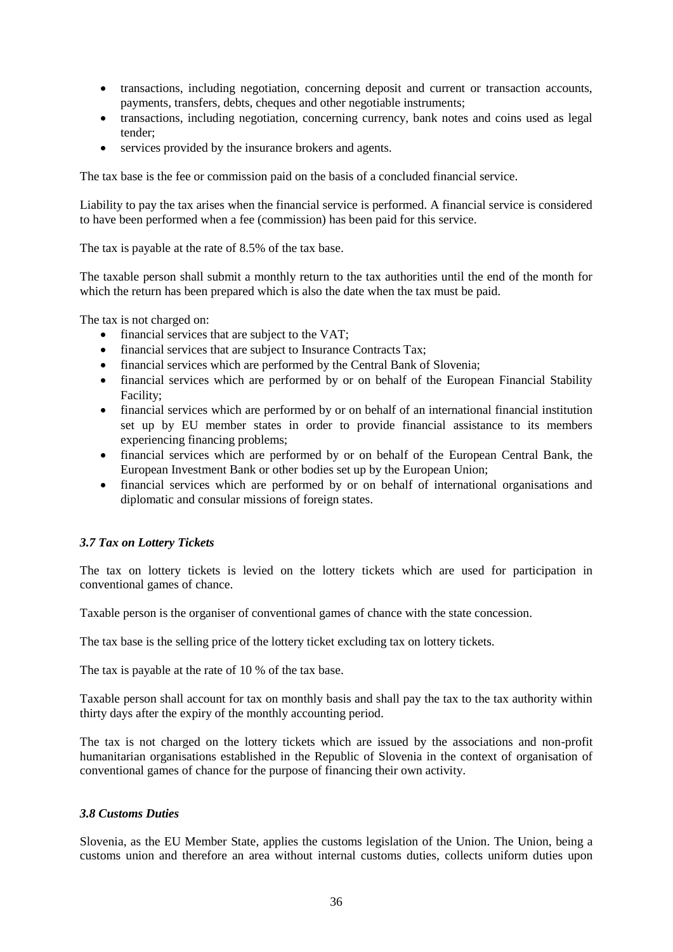- transactions, including negotiation, concerning deposit and current or transaction accounts, payments, transfers, debts, cheques and other negotiable instruments;
- transactions, including negotiation, concerning currency, bank notes and coins used as legal tender;
- services provided by the insurance brokers and agents.

The tax base is the fee or commission paid on the basis of a concluded financial service.

Liability to pay the tax arises when the financial service is performed. A financial service is considered to have been performed when a fee (commission) has been paid for this service.

The tax is payable at the rate of 8.5% of the tax base.

The taxable person shall submit a monthly return to the tax authorities until the end of the month for which the return has been prepared which is also the date when the tax must be paid.

The tax is not charged on:

- financial services that are subject to the VAT;
- financial services that are subject to Insurance Contracts Tax;
- financial services which are performed by the Central Bank of Slovenia;
- financial services which are performed by or on behalf of the European Financial Stability Facility;
- financial services which are performed by or on behalf of an international financial institution set up by EU member states in order to provide financial assistance to its members experiencing financing problems;
- financial services which are performed by or on behalf of the European Central Bank, the European Investment Bank or other bodies set up by the European Union;
- financial services which are performed by or on behalf of international organisations and diplomatic and consular missions of foreign states.

## *3.7 Tax on Lottery Tickets*

The tax on lottery tickets is levied on the lottery tickets which are used for participation in conventional games of chance.

Taxable person is the organiser of conventional games of chance with the state concession.

The tax base is the selling price of the lottery ticket excluding tax on lottery tickets.

The tax is payable at the rate of 10 % of the tax base.

Taxable person shall account for tax on monthly basis and shall pay the tax to the tax authority within thirty days after the expiry of the monthly accounting period.

The tax is not charged on the lottery tickets which are issued by the associations and non-profit humanitarian organisations established in the Republic of Slovenia in the context of organisation of conventional games of chance for the purpose of financing their own activity.

#### *3.8 Customs Duties*

Slovenia, as the EU Member State, applies the customs legislation of the Union. The Union, being a customs union and therefore an area without internal customs duties, collects uniform duties upon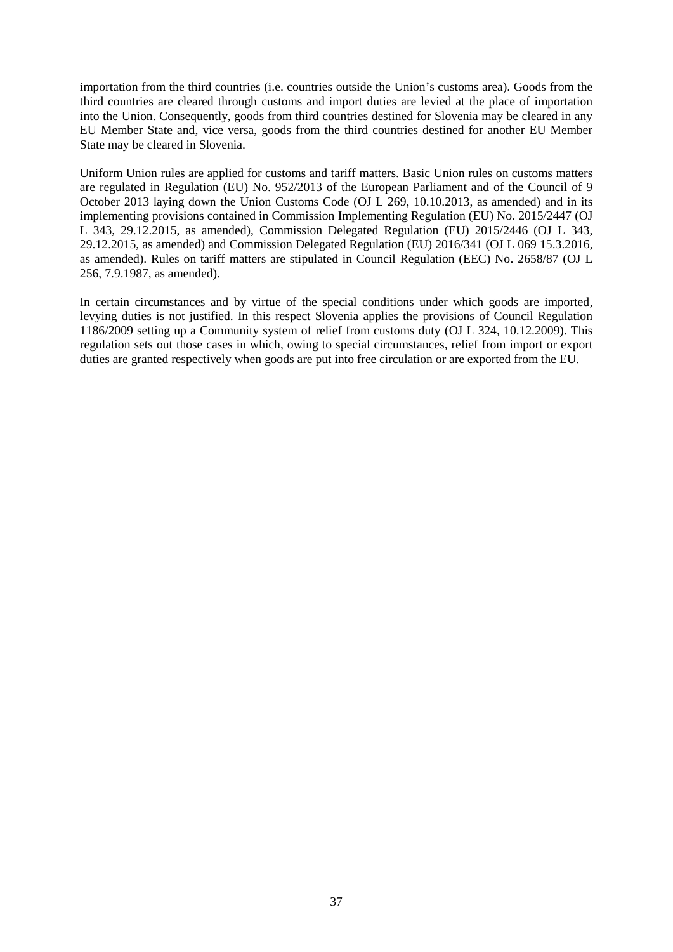importation from the third countries (i.e. countries outside the Union's customs area). Goods from the third countries are cleared through customs and import duties are levied at the place of importation into the Union. Consequently, goods from third countries destined for Slovenia may be cleared in any EU Member State and, vice versa, goods from the third countries destined for another EU Member State may be cleared in Slovenia.

Uniform Union rules are applied for customs and tariff matters. Basic Union rules on customs matters are regulated in Regulation (EU) No. 952/2013 of the European Parliament and of the Council of 9 October 2013 laying down the Union Customs Code (OJ L 269, 10.10.2013, as amended) and in its implementing provisions contained in Commission Implementing Regulation (EU) No. 2015/2447 (OJ L 343, 29.12.2015, as amended), Commission Delegated Regulation (EU) 2015/2446 (OJ L 343, 29.12.2015, as amended) and Commission Delegated Regulation (EU) 2016/341 (OJ L 069 15.3.2016, as amended). Rules on tariff matters are stipulated in Council Regulation (EEC) No. 2658/87 (OJ L 256, 7.9.1987, as amended).

In certain circumstances and by virtue of the special conditions under which goods are imported, levying duties is not justified. In this respect Slovenia applies the provisions of Council Regulation 1186/2009 setting up a Community system of relief from customs duty (OJ L 324, 10.12.2009). This regulation sets out those cases in which, owing to special circumstances, relief from import or export duties are granted respectively when goods are put into free circulation or are exported from the EU.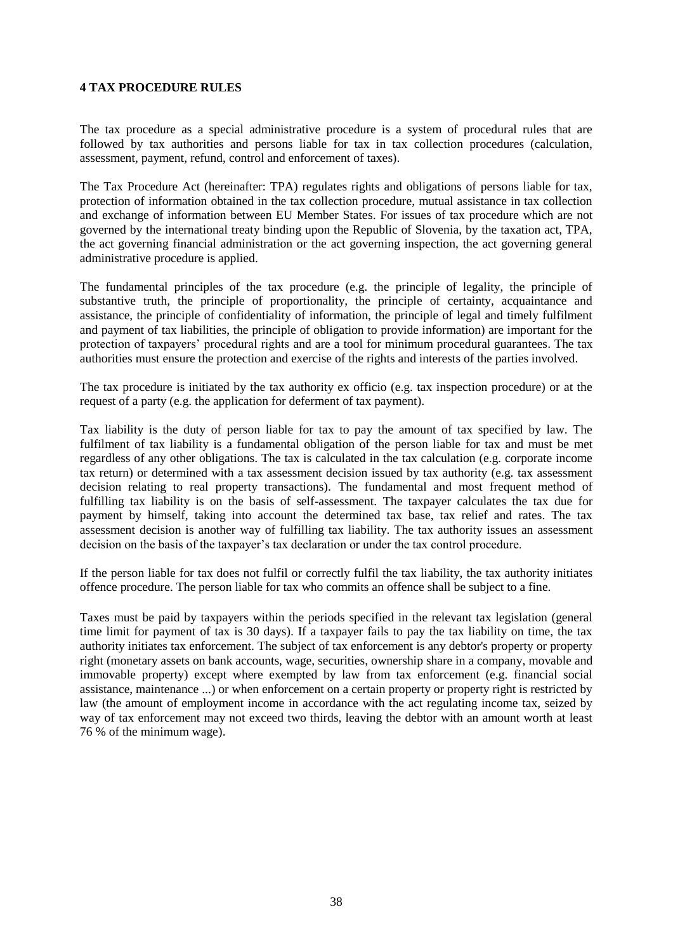#### **4 TAX PROCEDURE RULES**

The tax procedure as a special administrative procedure is a system of procedural rules that are followed by tax authorities and persons liable for tax in tax collection procedures (calculation, assessment, payment, refund, control and enforcement of taxes).

The Tax Procedure Act (hereinafter: TPA) regulates rights and obligations of persons liable for tax, protection of information obtained in the tax collection procedure, mutual assistance in tax collection and exchange of information between EU Member States. For issues of tax procedure which are not governed by the international treaty binding upon the Republic of Slovenia, by the taxation act, TPA, the act governing financial administration or the act governing inspection, the act governing general administrative procedure is applied.

The fundamental principles of the tax procedure (e.g. the principle of legality, the principle of substantive truth, the principle of proportionality, the principle of certainty, acquaintance and assistance, the principle of confidentiality of information, the principle of legal and timely fulfilment and payment of tax liabilities, the principle of obligation to provide information) are important for the protection of taxpayers' procedural rights and are a tool for minimum procedural guarantees. The tax authorities must ensure the protection and exercise of the rights and interests of the parties involved.

The tax procedure is initiated by the tax authority ex officio (e.g. tax inspection procedure) or at the request of a party (e.g. the application for deferment of tax payment).

Tax liability is the duty of person liable for tax to pay the amount of tax specified by law. The fulfilment of tax liability is a fundamental obligation of the person liable for tax and must be met regardless of any other obligations. The tax is calculated in the tax calculation (e.g. corporate income tax return) or determined with a tax assessment decision issued by tax authority (e.g. tax assessment decision relating to real property transactions). The fundamental and most frequent method of fulfilling tax liability is on the basis of self-assessment. The taxpayer calculates the tax due for payment by himself, taking into account the determined tax base, tax relief and rates. The tax assessment decision is another way of fulfilling tax liability. The tax authority issues an assessment decision on the basis of the taxpayer's tax declaration or under the tax control procedure.

If the person liable for tax does not fulfil or correctly fulfil the tax liability, the tax authority initiates offence procedure. The person liable for tax who commits an offence shall be subject to a fine.

Taxes must be paid by taxpayers within the periods specified in the relevant tax legislation (general time limit for payment of tax is 30 days). If a taxpayer fails to pay the tax liability on time, the tax authority initiates tax enforcement. The subject of tax enforcement is any debtor's property or property right (monetary assets on bank accounts, wage, securities, ownership share in a company, movable and immovable property) except where exempted by law from tax enforcement (e.g. financial social assistance, maintenance ...) or when enforcement on a certain property or property right is restricted by law (the amount of employment income in accordance with the act regulating income tax, seized by way of tax enforcement may not exceed two thirds, leaving the debtor with an amount worth at least 76 % of the minimum wage).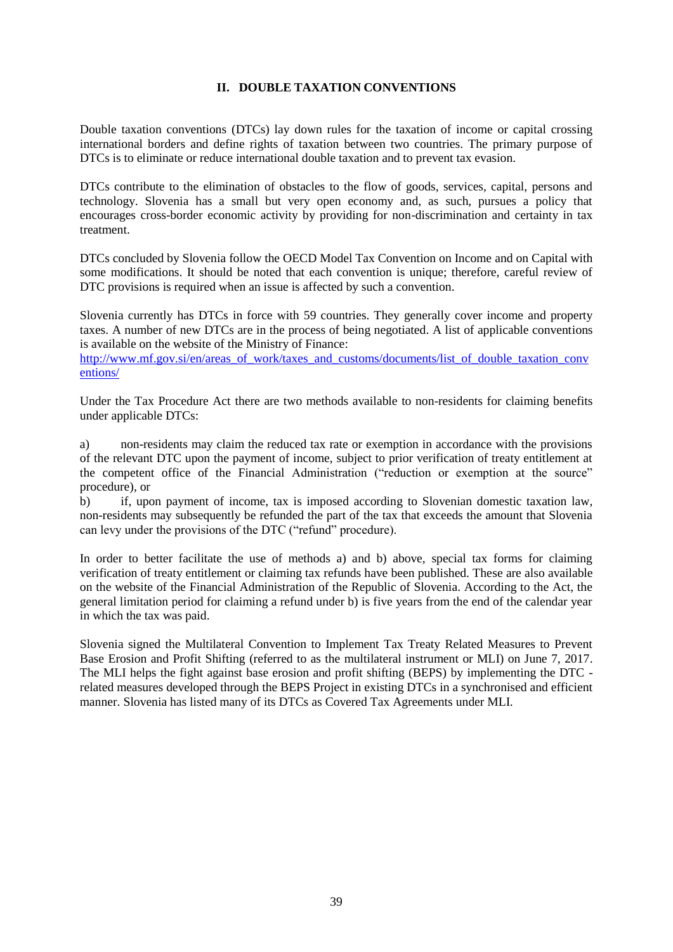## **II. DOUBLE TAXATION CONVENTIONS**

Double taxation conventions (DTCs) lay down rules for the taxation of income or capital crossing international borders and define rights of taxation between two countries. The primary purpose of DTCs is to eliminate or reduce international double taxation and to prevent tax evasion.

DTCs contribute to the elimination of obstacles to the flow of goods, services, capital, persons and technology. Slovenia has a small but very open economy and, as such, pursues a policy that encourages cross-border economic activity by providing for non-discrimination and certainty in tax treatment.

DTCs concluded by Slovenia follow the OECD Model Tax Convention on Income and on Capital with some modifications. It should be noted that each convention is unique; therefore, careful review of DTC provisions is required when an issue is affected by such a convention.

Slovenia currently has DTCs in force with 59 countries. They generally cover income and property taxes. A number of new DTCs are in the process of being negotiated. A list of applicable conventions is available on the website of the Ministry of Finance:

[http://www.mf.gov.si/en/areas\\_of\\_work/taxes\\_and\\_customs/documents/list\\_of\\_double\\_taxation\\_conv](http://www.mf.gov.si/en/areas_of_work/taxes_and_customs/documents/list_of_double_taxation_conventions/) [entions/](http://www.mf.gov.si/en/areas_of_work/taxes_and_customs/documents/list_of_double_taxation_conventions/)

Under the Tax Procedure Act there are two methods available to non-residents for claiming benefits under applicable DTCs:

a) non-residents may claim the reduced tax rate or exemption in accordance with the provisions of the relevant DTC upon the payment of income, subject to prior verification of treaty entitlement at the competent office of the Financial Administration ("reduction or exemption at the source" procedure), or

b) if, upon payment of income, tax is imposed according to Slovenian domestic taxation law, non-residents may subsequently be refunded the part of the tax that exceeds the amount that Slovenia can levy under the provisions of the DTC ("refund" procedure).

In order to better facilitate the use of methods a) and b) above, special tax forms for claiming verification of treaty entitlement or claiming tax refunds have been published. These are also available on the website of the Financial Administration of the Republic of Slovenia. According to the Act, the general limitation period for claiming a refund under b) is five years from the end of the calendar year in which the tax was paid.

Slovenia signed the Multilateral Convention to Implement Tax Treaty Related Measures to Prevent Base Erosion and Profit Shifting (referred to as the multilateral instrument or MLI) on June 7, 2017. The MLI helps the fight against base erosion and profit shifting (BEPS) by implementing the DTC related measures developed through the BEPS Project in existing DTCs in a synchronised and efficient manner. Slovenia has listed many of its DTCs as Covered Tax Agreements under MLI.